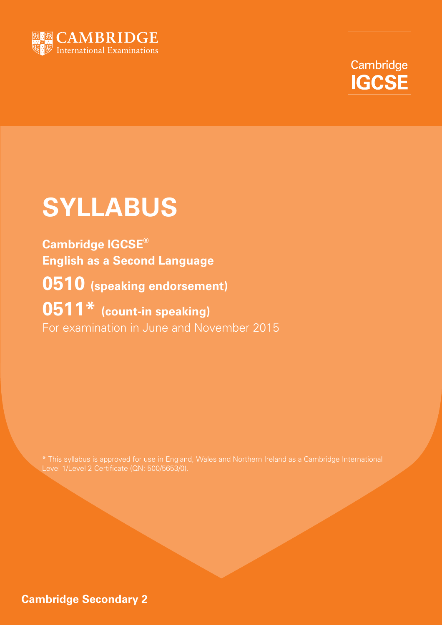



# **SYLLABUS**

**Cambridge IGCSE® English as a Second Language**

**0510 (speaking endorsement)**

**0511\* (count-in speaking)** For examination in June and November 2015

\* This syllabus is approved for use in England, Wales and Northern Ireland as a Cambridge International Level 1/Level 2 Certificate (QN: 500/5653/0).

**Cambridge Secondary 2**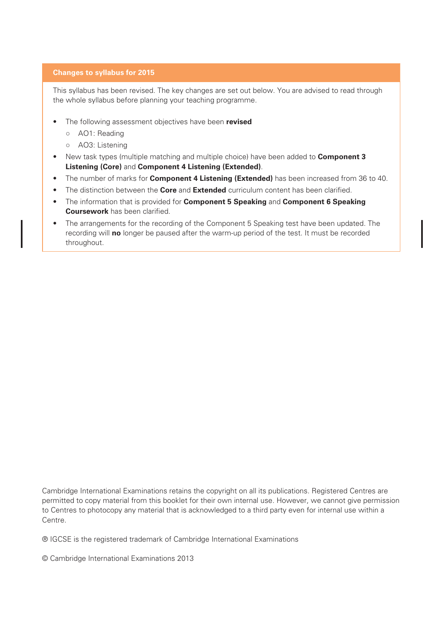#### **Changes to syllabus for 2015**

This syllabus has been revised. The key changes are set out below. You are advised to read through the whole syllabus before planning your teaching programme.

- The following assessment objectives have been **revised**
	- AO1: Reading
	- AO3: Listening
- New task types (multiple matching and multiple choice) have been added to **Component 3 Listening (Core)** and **Component 4 Listening (Extended)**.
- The number of marks for **Component 4 Listening (Extended)** has been increased from 36 to 40.
- The distinction between the **Core** and **Extended** curriculum content has been clarified.
- The information that is provided for **Component 5 Speaking** and **Component 6 Speaking Coursework** has been clarified.
- The arrangements for the recording of the Component 5 Speaking test have been updated. The recording will **no** longer be paused after the warm-up period of the test. It must be recorded throughout.

Cambridge International Examinations retains the copyright on all its publications. Registered Centres are permitted to copy material from this booklet for their own internal use. However, we cannot give permission to Centres to photocopy any material that is acknowledged to a third party even for internal use within a Centre.

® IGCSE is the registered trademark of Cambridge International Examinations

© Cambridge International Examinations 2013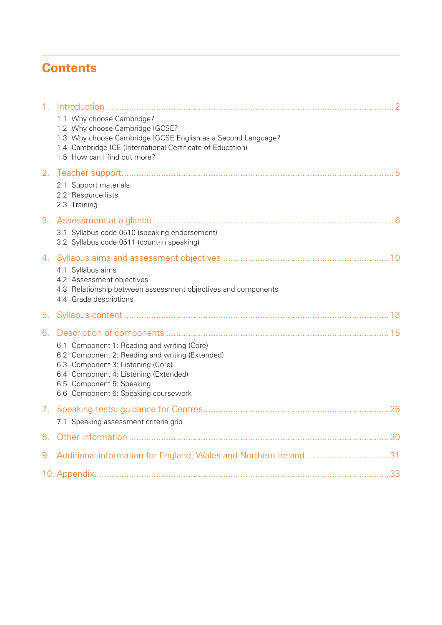## **Contents**

| 1 <sub>1</sub> |                                                                                                                                                                                                                                                   |
|----------------|---------------------------------------------------------------------------------------------------------------------------------------------------------------------------------------------------------------------------------------------------|
|                | 1.1 Why choose Cambridge?<br>1.2 Why choose Cambridge IGCSE?<br>1.3 Why choose Cambridge IGCSE English as a Second Language?<br>1.4 Cambridge ICE (International Certificate of Education)<br>1.5 How can I find out more?                        |
| 2.             | 2.1 Support materials<br>2.2 Resource lists<br>2.3 Training                                                                                                                                                                                       |
| 3.             | 3.1 Syllabus code 0510 (speaking endorsement)<br>3.2 Syllabus code 0511 (count-in speaking)                                                                                                                                                       |
| 4.             | 4.1 Syllabus aims<br>4.2 Assessment objectives<br>4.3 Relationship between assessment objectives and components<br>4.4 Grade descriptions                                                                                                         |
| 5.             |                                                                                                                                                                                                                                                   |
| 6.             | 6.1 Component 1: Reading and writing (Core)<br>6.2 Component 2: Reading and writing (Extended)<br>6.3 Component 3: Listening (Core)<br>6.4 Component 4: Listening (Extended)<br>6.5 Component 5: Speaking<br>6.6 Component 6: Speaking coursework |
| 7.             | 7.1 Speaking assessment criteria grid                                                                                                                                                                                                             |
| 8.             |                                                                                                                                                                                                                                                   |
|                | 9. Additional information for England, Wales and Northern Ireland31                                                                                                                                                                               |
|                |                                                                                                                                                                                                                                                   |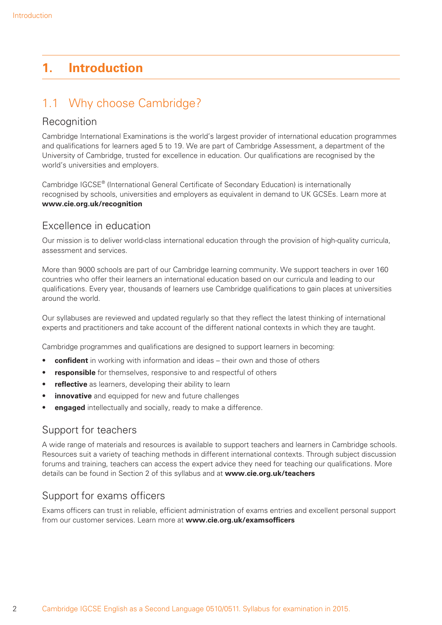## **1. Introduction**

### 1.1 Why choose Cambridge?

### **Recognition**

Cambridge International Examinations is the world's largest provider of international education programmes and qualifications for learners aged 5 to 19. We are part of Cambridge Assessment, a department of the University of Cambridge, trusted for excellence in education. Our qualifications are recognised by the world's universities and employers.

Cambridge IGCSE<sup>®</sup> (International General Certificate of Secondary Education) is internationally recognised by schools, universities and employers as equivalent in demand to UK GCSEs. Learn more at **www.cie.org.uk/recognition**

### Excellence in education

Our mission is to deliver world-class international education through the provision of high-quality curricula, assessment and services.

More than 9000 schools are part of our Cambridge learning community. We support teachers in over 160 countries who offer their learners an international education based on our curricula and leading to our qualifications. Every year, thousands of learners use Cambridge qualifications to gain places at universities around the world.

Our syllabuses are reviewed and updated regularly so that they reflect the latest thinking of international experts and practitioners and take account of the different national contexts in which they are taught.

Cambridge programmes and qualifications are designed to support learners in becoming:

- **confident** in working with information and ideas their own and those of others
- **responsible** for themselves, responsive to and respectful of others
- reflective as learners, developing their ability to learn
- **innovative** and equipped for new and future challenges
- **engaged** intellectually and socially, ready to make a difference.

### Support for teachers

A wide range of materials and resources is available to support teachers and learners in Cambridge schools. Resources suit a variety of teaching methods in different international contexts. Through subject discussion forums and training, teachers can access the expert advice they need for teaching our qualifications. More details can be found in Section 2 of this syllabus and at **www.cie.org.uk/teachers**

### Support for exams officers

Exams officers can trust in reliable, efficient administration of exams entries and excellent personal support from our customer services. Learn more at **www.cie.org.uk/examsofficers**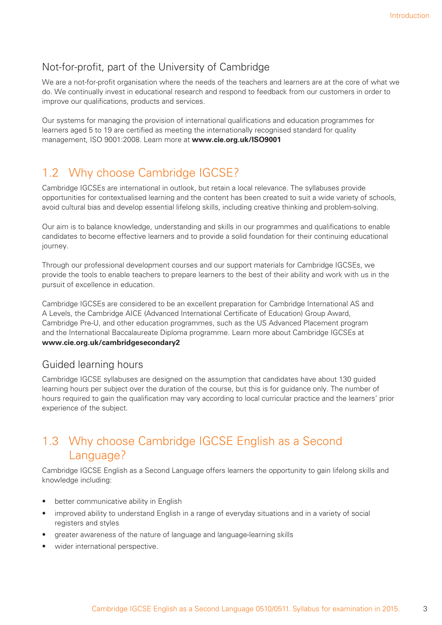### Not-for-profit, part of the University of Cambridge

We are a not-for-profit organisation where the needs of the teachers and learners are at the core of what we do. We continually invest in educational research and respond to feedback from our customers in order to improve our qualifications, products and services.

Our systems for managing the provision of international qualifications and education programmes for learners aged 5 to 19 are certified as meeting the internationally recognised standard for quality management, ISO 9001:2008. Learn more at **www.cie.org.uk/ISO9001**

## 1.2 Why choose Cambridge IGCSE?

Cambridge IGCSEs are international in outlook, but retain a local relevance. The syllabuses provide opportunities for contextualised learning and the content has been created to suit a wide variety of schools, avoid cultural bias and develop essential lifelong skills, including creative thinking and problem-solving.

Our aim is to balance knowledge, understanding and skills in our programmes and qualifications to enable candidates to become effective learners and to provide a solid foundation for their continuing educational journey.

Through our professional development courses and our support materials for Cambridge IGCSEs, we provide the tools to enable teachers to prepare learners to the best of their ability and work with us in the pursuit of excellence in education.

Cambridge IGCSEs are considered to be an excellent preparation for Cambridge International AS and A Levels, the Cambridge AICE (Advanced International Certificate of Education) Group Award, Cambridge Pre-U, and other education programmes, such as the US Advanced Placement program and the International Baccalaureate Diploma programme. Learn more about Cambridge IGCSEs at **www.cie.org.uk/cambridgesecondary2**

### Guided learning hours

Cambridge IGCSE syllabuses are designed on the assumption that candidates have about 130 guided learning hours per subject over the duration of the course, but this is for guidance only. The number of hours required to gain the qualification may vary according to local curricular practice and the learners' prior experience of the subject.

### 1.3 Why choose Cambridge IGCSE English as a Second Language?

Cambridge IGCSE English as a Second Language offers learners the opportunity to gain lifelong skills and knowledge including:

- better communicative ability in English
- improved ability to understand English in a range of everyday situations and in a variety of social registers and styles
- greater awareness of the nature of language and language-learning skills
- wider international perspective.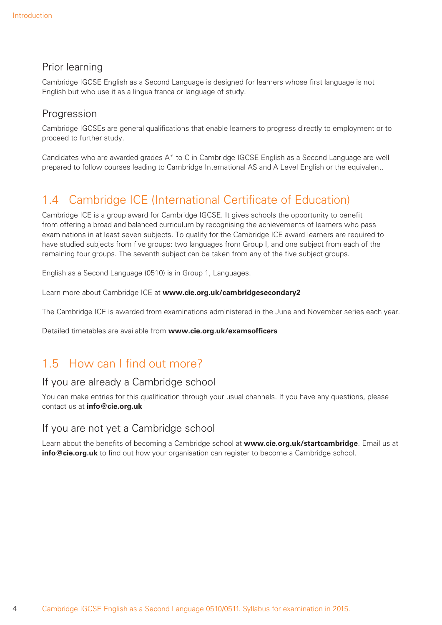### Prior learning

Cambridge IGCSE English as a Second Language is designed for learners whose first language is not English but who use it as a lingua franca or language of study.

### Progression

Cambridge IGCSEs are general qualifications that enable learners to progress directly to employment or to proceed to further study.

Candidates who are awarded grades A\* to C in Cambridge IGCSE English as a Second Language are well prepared to follow courses leading to Cambridge International AS and A Level English or the equivalent.

### 1.4 Cambridge ICE (International Certificate of Education)

Cambridge ICE is a group award for Cambridge IGCSE. It gives schools the opportunity to benefit from offering a broad and balanced curriculum by recognising the achievements of learners who pass examinations in at least seven subjects. To qualify for the Cambridge ICE award learners are required to have studied subjects from five groups: two languages from Group I, and one subject from each of the remaining four groups. The seventh subject can be taken from any of the five subject groups.

English as a Second Language (0510) is in Group 1, Languages.

Learn more about Cambridge ICE at **www.cie.org.uk/cambridgesecondary2**

The Cambridge ICE is awarded from examinations administered in the June and November series each year.

Detailed timetables are available from **www.cie.org.uk/examsofficers** 

### 1.5 How can I find out more?

#### If you are already a Cambridge school

You can make entries for this qualification through your usual channels. If you have any questions, please contact us at **info@cie.org.uk**

#### If you are not yet a Cambridge school

Learn about the benefits of becoming a Cambridge school at **www.cie.org.uk/startcambridge**. Email us at **info@cie.org.uk** to find out how your organisation can register to become a Cambridge school.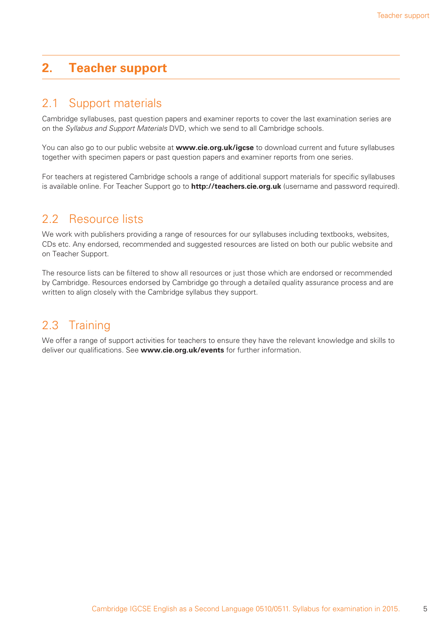### **2. Teacher support**

### 2.1 Support materials

Cambridge syllabuses, past question papers and examiner reports to cover the last examination series are on the Syllabus and Support Materials DVD, which we send to all Cambridge schools.

You can also go to our public website at **www.cie.org.uk/igcse** to download current and future syllabuses together with specimen papers or past question papers and examiner reports from one series.

For teachers at registered Cambridge schools a range of additional support materials for specific syllabuses is available online. For Teacher Support go to **http://teachers.cie.org.uk** (username and password required).

### 2.2 Resource lists

We work with publishers providing a range of resources for our syllabuses including textbooks, websites, CDs etc. Any endorsed, recommended and suggested resources are listed on both our public website and on Teacher Support.

The resource lists can be filtered to show all resources or just those which are endorsed or recommended by Cambridge. Resources endorsed by Cambridge go through a detailed quality assurance process and are written to align closely with the Cambridge syllabus they support.

### 2.3 Training

We offer a range of support activities for teachers to ensure they have the relevant knowledge and skills to deliver our qualifications. See **www.cie.org.uk/events** for further information.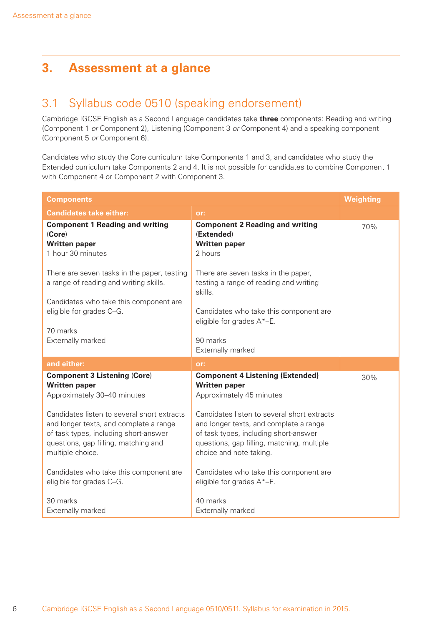## **3. Assessment at a glance**

### 3.1 Syllabus code 0510 (speaking endorsement)

Cambridge IGCSE English as a Second Language candidates take **three** components: Reading and writing (Component 1 or Component 2), Listening (Component 3 or Component 4) and a speaking component (Component 5 or Component 6).

Candidates who study the Core curriculum take Components 1 and 3, and candidates who study the Extended curriculum take Components 2 and 4. It is not possible for candidates to combine Component 1 with Component 4 or Component 2 with Component 3.

| <b>Components</b>                                                                                                                                                                          | <b>Weighting</b>                                                                                                                                                                                        |     |
|--------------------------------------------------------------------------------------------------------------------------------------------------------------------------------------------|---------------------------------------------------------------------------------------------------------------------------------------------------------------------------------------------------------|-----|
| <b>Candidates take either:</b>                                                                                                                                                             | or:                                                                                                                                                                                                     |     |
| <b>Component 1 Reading and writing</b><br>(Core)<br><b>Written paper</b>                                                                                                                   | <b>Component 2 Reading and writing</b><br>(Extended)<br><b>Written paper</b>                                                                                                                            | 70% |
| 1 hour 30 minutes                                                                                                                                                                          | 2 hours                                                                                                                                                                                                 |     |
| There are seven tasks in the paper, testing<br>a range of reading and writing skills.                                                                                                      | There are seven tasks in the paper,<br>testing a range of reading and writing<br>skills.                                                                                                                |     |
| Candidates who take this component are<br>eligible for grades C-G.                                                                                                                         | Candidates who take this component are<br>eligible for grades A*-E.                                                                                                                                     |     |
| 70 marks<br>Externally marked                                                                                                                                                              | 90 marks<br>Externally marked                                                                                                                                                                           |     |
| and either:                                                                                                                                                                                | or:                                                                                                                                                                                                     |     |
| <b>Component 3 Listening (Core)</b><br><b>Written paper</b><br>Approximately 30-40 minutes                                                                                                 | <b>Component 4 Listening (Extended)</b><br><b>Written paper</b><br>Approximately 45 minutes                                                                                                             | 30% |
| Candidates listen to several short extracts<br>and longer texts, and complete a range<br>of task types, including short-answer<br>questions, gap filling, matching and<br>multiple choice. | Candidates listen to several short extracts<br>and longer texts, and complete a range<br>of task types, including short-answer<br>questions, gap filling, matching, multiple<br>choice and note taking. |     |
| Candidates who take this component are<br>eligible for grades C-G.                                                                                                                         | Candidates who take this component are<br>eligible for grades A*-E.                                                                                                                                     |     |
| 30 marks<br>Externally marked                                                                                                                                                              | 40 marks<br>Externally marked                                                                                                                                                                           |     |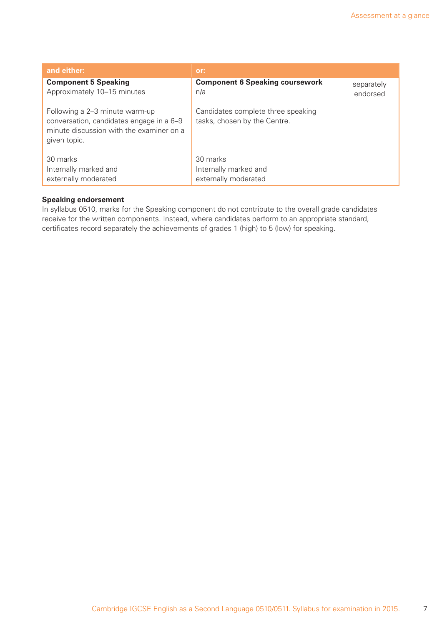| and either:                                                                                                                            | or:                                                                |                        |
|----------------------------------------------------------------------------------------------------------------------------------------|--------------------------------------------------------------------|------------------------|
| <b>Component 5 Speaking</b><br>Approximately 10-15 minutes                                                                             | <b>Component 6 Speaking coursework</b><br>n/a                      | separately<br>endorsed |
| Following a 2-3 minute warm-up<br>conversation, candidates engage in a 6-9<br>minute discussion with the examiner on a<br>given topic. | Candidates complete three speaking<br>tasks, chosen by the Centre. |                        |
| 30 marks<br>Internally marked and<br>externally moderated                                                                              | 30 marks<br>Internally marked and<br>externally moderated          |                        |

#### **Speaking endorsement**

In syllabus 0510, marks for the Speaking component do not contribute to the overall grade candidates receive for the written components. Instead, where candidates perform to an appropriate standard, certificates record separately the achievements of grades 1 (high) to 5 (low) for speaking.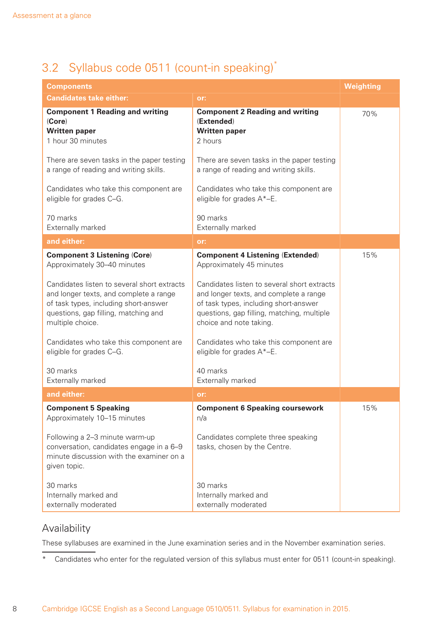## 3.2 Syllabus code 0511 (count-in speaking)\*

| <b>Components</b>                                                                                                                                                                          | <b>Weighting</b>                                                                                                                                                                                        |     |
|--------------------------------------------------------------------------------------------------------------------------------------------------------------------------------------------|---------------------------------------------------------------------------------------------------------------------------------------------------------------------------------------------------------|-----|
| <b>Candidates take either:</b>                                                                                                                                                             | or:                                                                                                                                                                                                     |     |
| <b>Component 1 Reading and writing</b><br>(Core)<br><b>Written paper</b><br>1 hour 30 minutes                                                                                              | <b>Component 2 Reading and writing</b><br>(Extended)<br><b>Written paper</b><br>2 hours                                                                                                                 | 70% |
| There are seven tasks in the paper testing<br>a range of reading and writing skills.                                                                                                       | There are seven tasks in the paper testing<br>a range of reading and writing skills.                                                                                                                    |     |
| Candidates who take this component are<br>eligible for grades C-G.                                                                                                                         | Candidates who take this component are<br>eligible for grades A*-E.                                                                                                                                     |     |
| 70 marks<br>Externally marked                                                                                                                                                              | 90 marks<br>Externally marked                                                                                                                                                                           |     |
| and either:                                                                                                                                                                                | or:                                                                                                                                                                                                     |     |
| <b>Component 3 Listening (Core)</b><br>Approximately 30-40 minutes                                                                                                                         | <b>Component 4 Listening (Extended)</b><br>Approximately 45 minutes                                                                                                                                     | 15% |
| Candidates listen to several short extracts<br>and longer texts, and complete a range<br>of task types, including short-answer<br>questions, gap filling, matching and<br>multiple choice. | Candidates listen to several short extracts<br>and longer texts, and complete a range<br>of task types, including short-answer<br>questions, gap filling, matching, multiple<br>choice and note taking. |     |
| Candidates who take this component are<br>eligible for grades C-G.                                                                                                                         | Candidates who take this component are<br>eligible for grades A*-E.                                                                                                                                     |     |
| 30 marks<br>Externally marked                                                                                                                                                              | 40 marks<br>Externally marked                                                                                                                                                                           |     |
| and either:                                                                                                                                                                                | or:                                                                                                                                                                                                     |     |
| <b>Component 5 Speaking</b><br>Approximately 10-15 minutes                                                                                                                                 | <b>Component 6 Speaking coursework</b><br>n/a                                                                                                                                                           | 15% |
| Following a 2-3 minute warm-up<br>conversation, candidates engage in a 6-9<br>minute discussion with the examiner on a<br>given topic.                                                     | Candidates complete three speaking<br>tasks, chosen by the Centre.                                                                                                                                      |     |
| 30 marks<br>Internally marked and<br>externally moderated                                                                                                                                  | 30 marks<br>Internally marked and<br>externally moderated                                                                                                                                               |     |

### Availability

These syllabuses are examined in the June examination series and in the November examination series.

<sup>\*</sup> Candidates who enter for the regulated version of this syllabus must enter for 0511 (count-in speaking).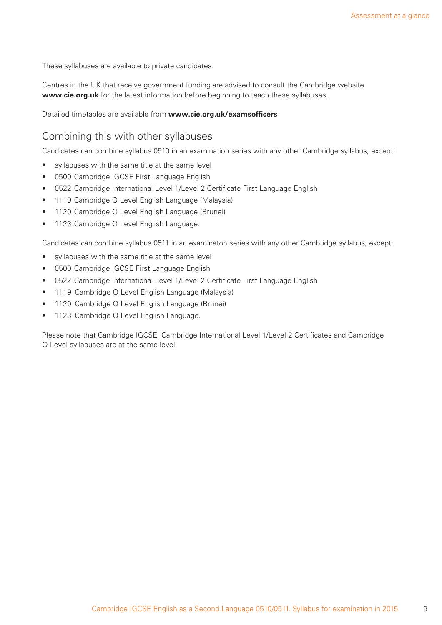These syllabuses are available to private candidates.

Centres in the UK that receive government funding are advised to consult the Cambridge website **www.cie.org.uk** for the latest information before beginning to teach these syllabuses.

Detailed timetables are available from **www.cie.org.uk/examsofficers** 

### Combining this with other syllabuses

Candidates can combine syllabus 0510 in an examination series with any other Cambridge syllabus, except:

- syllabuses with the same title at the same level
- 0500 Cambridge IGCSE First Language English
- 0522 Cambridge International Level 1/Level 2 Certificate First Language English
- 1119 Cambridge O Level English Language (Malaysia)
- 1120 Cambridge O Level English Language (Brunei)
- 1123 Cambridge O Level English Language.

Candidates can combine syllabus 0511 in an examinaton series with any other Cambridge syllabus, except:

- syllabuses with the same title at the same level
- 0500 Cambridge IGCSE First Language English
- 0522 Cambridge International Level 1/Level 2 Certificate First Language English
- 1119 Cambridge O Level English Language (Malaysia)
- 1120 Cambridge O Level English Language (Brunei)
- 1123 Cambridge O Level English Language.

Please note that Cambridge IGCSE, Cambridge International Level 1/Level 2 Certificates and Cambridge O Level syllabuses are at the same level.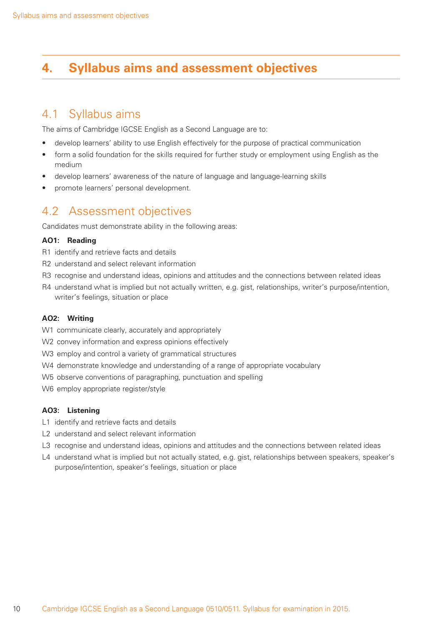## **4. Syllabus aims and assessment objectives**

### 4.1 Syllabus aims

The aims of Cambridge IGCSE English as a Second Language are to:

- develop learners' ability to use English effectively for the purpose of practical communication
- form a solid foundation for the skills required for further study or employment using English as the medium
- develop learners' awareness of the nature of language and language-learning skills
- promote learners' personal development.

### 4.2 Assessment objectives

Candidates must demonstrate ability in the following areas:

#### **AO1: Reading**

- R1 identify and retrieve facts and details
- R2 understand and select relevant information
- R3 recognise and understand ideas, opinions and attitudes and the connections between related ideas
- R4 understand what is implied but not actually written, e.g. gist, relationships, writer's purpose/intention, writer's feelings, situation or place

#### **AO2: Writing**

- W1 communicate clearly, accurately and appropriately
- W2 convey information and express opinions effectively
- W3 employ and control a variety of grammatical structures
- W4 demonstrate knowledge and understanding of a range of appropriate vocabulary
- W5 observe conventions of paragraphing, punctuation and spelling
- W6 employ appropriate register/style

#### **AO3: Listening**

- L1 identify and retrieve facts and details
- L2 understand and select relevant information
- L3 recognise and understand ideas, opinions and attitudes and the connections between related ideas
- L4 understand what is implied but not actually stated, e.g. gist, relationships between speakers, speaker's purpose/intention, speaker's feelings, situation or place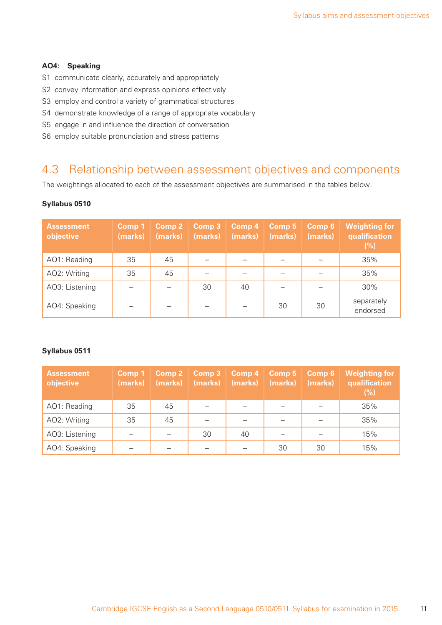#### **AO4: Speaking**

- S1 communicate clearly, accurately and appropriately
- S2 convey information and express opinions effectively
- S3 employ and control a variety of grammatical structures
- S4 demonstrate knowledge of a range of appropriate vocabulary
- S5 engage in and influence the direction of conversation
- S6 employ suitable pronunciation and stress patterns

### 4.3 Relationship between assessment objectives and components

The weightings allocated to each of the assessment objectives are summarised in the tables below.

#### **Syllabus 0510**

| <b>Assessment</b><br>objective | Comp 1<br>(marks) | Comp 2<br>(marks) | Comp 3<br>(marks) | Comp 4<br>(marks) | Comp 5<br>(marks) | Comp 6<br>(marks) | <b>Weighting for</b><br>qualification<br>(%) |
|--------------------------------|-------------------|-------------------|-------------------|-------------------|-------------------|-------------------|----------------------------------------------|
| AO1: Reading                   | 35                | 45                |                   |                   |                   |                   | 35%                                          |
| AO2: Writing                   | 35                | 45                |                   |                   |                   |                   | 35%                                          |
| AO3: Listening                 |                   |                   | 30                | 40                |                   |                   | 30%                                          |
| AO4: Speaking                  |                   | -                 |                   |                   | 30                | 30                | separately<br>endorsed                       |

#### **Syllabus 0511**

| <b>Assessment</b><br>objective | Comp 1<br>(marks) | Comp 2<br>(marks) | Comp 3<br>(marks) | Comp 4<br>(marks) | $\mathsf{Comp}\,5$<br>(marks) | Comp 6<br>(marks) | <b>Weighting for</b><br>qualification<br>(%) |
|--------------------------------|-------------------|-------------------|-------------------|-------------------|-------------------------------|-------------------|----------------------------------------------|
| AO1: Reading                   | 35                | 45                |                   |                   |                               |                   | 35%                                          |
| AO2: Writing                   | 35                | 45                |                   |                   |                               |                   | 35%                                          |
| AO3: Listening                 | -                 | -                 | 30                | 40                |                               |                   | 15%                                          |
| AO4: Speaking                  |                   | -                 | –                 |                   | 30                            | 30                | 15%                                          |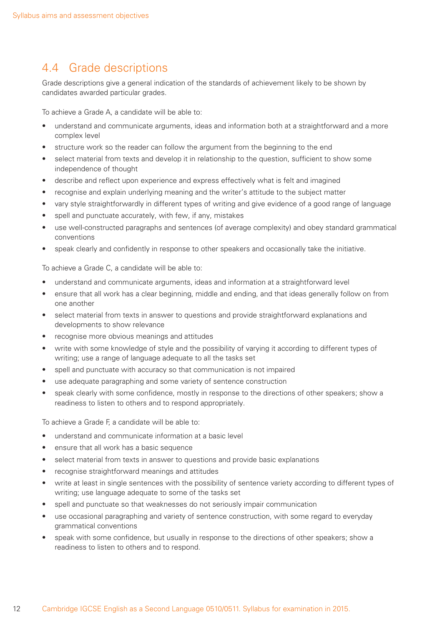### 4.4 Grade descriptions

Grade descriptions give a general indication of the standards of achievement likely to be shown by candidates awarded particular grades.

To achieve a Grade A, a candidate will be able to:

- understand and communicate arguments, ideas and information both at a straightforward and a more complex level
- structure work so the reader can follow the argument from the beginning to the end
- select material from texts and develop it in relationship to the question, sufficient to show some independence of thought
- describe and reflect upon experience and express effectively what is felt and imagined
- recognise and explain underlying meaning and the writer's attitude to the subject matter
- vary style straightforwardly in different types of writing and give evidence of a good range of language
- spell and punctuate accurately, with few, if any, mistakes
- use well-constructed paragraphs and sentences (of average complexity) and obey standard grammatical conventions
- speak clearly and confidently in response to other speakers and occasionally take the initiative.

To achieve a Grade C, a candidate will be able to:

- understand and communicate arguments, ideas and information at a straightforward level
- ensure that all work has a clear beginning, middle and ending, and that ideas generally follow on from one another
- select material from texts in answer to questions and provide straightforward explanations and developments to show relevance
- recognise more obvious meanings and attitudes
- write with some knowledge of style and the possibility of varying it according to different types of writing; use a range of language adequate to all the tasks set
- spell and punctuate with accuracy so that communication is not impaired
- use adequate paragraphing and some variety of sentence construction
- speak clearly with some confidence, mostly in response to the directions of other speakers; show a readiness to listen to others and to respond appropriately.

To achieve a Grade F, a candidate will be able to:

- understand and communicate information at a basic level
- ensure that all work has a basic sequence
- select material from texts in answer to questions and provide basic explanations
- recognise straightforward meanings and attitudes
- write at least in single sentences with the possibility of sentence variety according to different types of writing; use language adequate to some of the tasks set
- spell and punctuate so that weaknesses do not seriously impair communication
- use occasional paragraphing and variety of sentence construction, with some regard to everyday grammatical conventions
- speak with some confidence, but usually in response to the directions of other speakers; show a readiness to listen to others and to respond.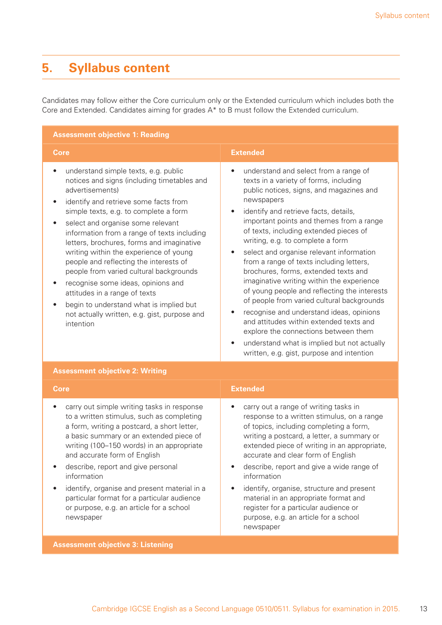## **5. Syllabus content**

Candidates may follow either the Core curriculum only or the Extended curriculum which includes both the Core and Extended. Candidates aiming for grades A\* to B must follow the Extended curriculum.

| <b>Assessment objective 1: Reading</b>                                                                                                                                                                                                                                                                                                                                                                                                                                                                                                                                                                                                                                                      |                                                                                                                                                                                                                                                                                                                                                                                                                                                                                                                                                                                                                                                                                                                                                                                                                                                                                     |  |  |  |  |
|---------------------------------------------------------------------------------------------------------------------------------------------------------------------------------------------------------------------------------------------------------------------------------------------------------------------------------------------------------------------------------------------------------------------------------------------------------------------------------------------------------------------------------------------------------------------------------------------------------------------------------------------------------------------------------------------|-------------------------------------------------------------------------------------------------------------------------------------------------------------------------------------------------------------------------------------------------------------------------------------------------------------------------------------------------------------------------------------------------------------------------------------------------------------------------------------------------------------------------------------------------------------------------------------------------------------------------------------------------------------------------------------------------------------------------------------------------------------------------------------------------------------------------------------------------------------------------------------|--|--|--|--|
| <b>Core</b>                                                                                                                                                                                                                                                                                                                                                                                                                                                                                                                                                                                                                                                                                 | <b>Extended</b>                                                                                                                                                                                                                                                                                                                                                                                                                                                                                                                                                                                                                                                                                                                                                                                                                                                                     |  |  |  |  |
| understand simple texts, e.g. public<br>$\bullet$<br>notices and signs (including timetables and<br>advertisements)<br>identify and retrieve some facts from<br>$\bullet$<br>simple texts, e.g. to complete a form<br>select and organise some relevant<br>$\bullet$<br>information from a range of texts including<br>letters, brochures, forms and imaginative<br>writing within the experience of young<br>people and reflecting the interests of<br>people from varied cultural backgrounds<br>recognise some ideas, opinions and<br>$\bullet$<br>attitudes in a range of texts<br>begin to understand what is implied but<br>not actually written, e.g. gist, purpose and<br>intention | understand and select from a range of<br>$\bullet$<br>texts in a variety of forms, including<br>public notices, signs, and magazines and<br>newspapers<br>identify and retrieve facts, details,<br>$\bullet$<br>important points and themes from a range<br>of texts, including extended pieces of<br>writing, e.g. to complete a form<br>select and organise relevant information<br>$\bullet$<br>from a range of texts including letters,<br>brochures, forms, extended texts and<br>imaginative writing within the experience<br>of young people and reflecting the interests<br>of people from varied cultural backgrounds<br>recognise and understand ideas, opinions<br>$\bullet$<br>and attitudes within extended texts and<br>explore the connections between them<br>understand what is implied but not actually<br>$\bullet$<br>written, e.g. gist, purpose and intention |  |  |  |  |
| <b>Assessment objective 2: Writing</b>                                                                                                                                                                                                                                                                                                                                                                                                                                                                                                                                                                                                                                                      |                                                                                                                                                                                                                                                                                                                                                                                                                                                                                                                                                                                                                                                                                                                                                                                                                                                                                     |  |  |  |  |
| <b>Core</b>                                                                                                                                                                                                                                                                                                                                                                                                                                                                                                                                                                                                                                                                                 | <b>Extended</b>                                                                                                                                                                                                                                                                                                                                                                                                                                                                                                                                                                                                                                                                                                                                                                                                                                                                     |  |  |  |  |
| carry out simple writing tasks in response<br>$\bullet$<br>to a written stimulus, such as completing<br>a form, writing a postcard, a short letter,<br>a basic summary or an extended piece of<br>writing (100-150 words) in an appropriate<br>and accurate form of English<br>describe, report and give personal<br>information<br>identify, organise and present material in a<br>particular format for a particular audience<br>or purpose, e.g. an article for a school<br>newspaper                                                                                                                                                                                                    | carry out a range of writing tasks in<br>$\bullet$<br>response to a written stimulus, on a range<br>of topics, including completing a form,<br>writing a postcard, a letter, a summary or<br>extended piece of writing in an appropriate,<br>accurate and clear form of English<br>describe, report and give a wide range of<br>$\bullet$<br>information<br>identify, organise, structure and present<br>$\bullet$<br>material in an appropriate format and<br>register for a particular audience or<br>purpose, e.g. an article for a school<br>newspaper                                                                                                                                                                                                                                                                                                                          |  |  |  |  |
| <b>Assessment objective 3: Listening</b>                                                                                                                                                                                                                                                                                                                                                                                                                                                                                                                                                                                                                                                    |                                                                                                                                                                                                                                                                                                                                                                                                                                                                                                                                                                                                                                                                                                                                                                                                                                                                                     |  |  |  |  |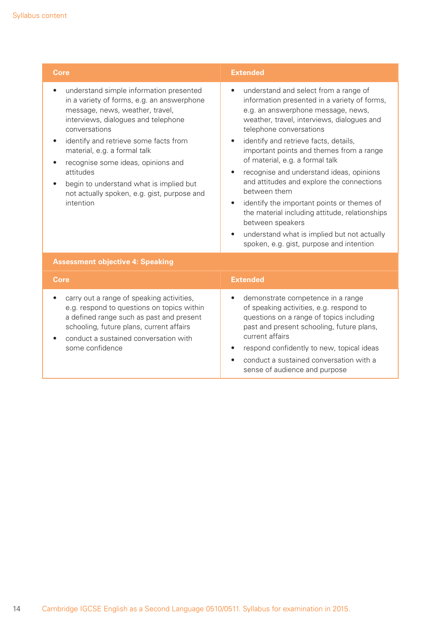| <b>Core</b>                                                                                                                                                                                                                                                                                                                                                                                                                                   | <b>Extended</b>                                                                                                                                                                                                                                                                                                                                                                                                                                                                                                                                                                                                                                                                                                       |
|-----------------------------------------------------------------------------------------------------------------------------------------------------------------------------------------------------------------------------------------------------------------------------------------------------------------------------------------------------------------------------------------------------------------------------------------------|-----------------------------------------------------------------------------------------------------------------------------------------------------------------------------------------------------------------------------------------------------------------------------------------------------------------------------------------------------------------------------------------------------------------------------------------------------------------------------------------------------------------------------------------------------------------------------------------------------------------------------------------------------------------------------------------------------------------------|
| understand simple information presented<br>$\bullet$<br>in a variety of forms, e.g. an answerphone<br>message, news, weather, travel,<br>interviews, dialogues and telephone<br>conversations<br>identify and retrieve some facts from<br>$\bullet$<br>material, e.g. a formal talk<br>recognise some ideas, opinions and<br>attitudes<br>begin to understand what is implied but<br>not actually spoken, e.g. gist, purpose and<br>intention | understand and select from a range of<br>$\bullet$<br>information presented in a variety of forms,<br>e.g. an answerphone message, news,<br>weather, travel, interviews, dialogues and<br>telephone conversations<br>identify and retrieve facts, details,<br>$\bullet$<br>important points and themes from a range<br>of material, e.g. a formal talk<br>recognise and understand ideas, opinions<br>$\bullet$<br>and attitudes and explore the connections<br>between them<br>identify the important points or themes of<br>$\bullet$<br>the material including attitude, relationships<br>between speakers<br>understand what is implied but not actually<br>$\bullet$<br>spoken, e.g. gist, purpose and intention |
| <b>Assessment objective 4: Speaking</b>                                                                                                                                                                                                                                                                                                                                                                                                       |                                                                                                                                                                                                                                                                                                                                                                                                                                                                                                                                                                                                                                                                                                                       |
| <b>Core</b>                                                                                                                                                                                                                                                                                                                                                                                                                                   | <b>Extended</b>                                                                                                                                                                                                                                                                                                                                                                                                                                                                                                                                                                                                                                                                                                       |
| carry out a range of speaking activities,<br>$\bullet$<br>e.g. respond to questions on topics within<br>a defined range such as past and present<br>schooling, future plans, current affairs<br>conduct a sustained conversation with<br>some confidence                                                                                                                                                                                      | demonstrate competence in a range<br>$\bullet$<br>of speaking activities, e.g. respond to<br>questions on a range of topics including<br>past and present schooling, future plans,<br>current affairs<br>respond confidently to new, topical ideas<br>$\bullet$<br>conduct a sustained conversation with a<br>$\bullet$<br>sense of audience and purpose                                                                                                                                                                                                                                                                                                                                                              |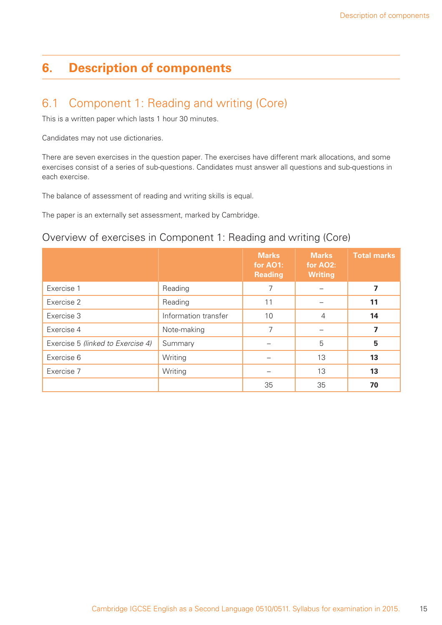## **6. Description of components**

### 6.1 Component 1: Reading and writing (Core)

This is a written paper which lasts 1 hour 30 minutes.

Candidates may not use dictionaries.

There are seven exercises in the question paper. The exercises have different mark allocations, and some exercises consist of a series of sub-questions. Candidates must answer all questions and sub-questions in each exercise.

The balance of assessment of reading and writing skills is equal.

The paper is an externally set assessment, marked by Cambridge.

### Overview of exercises in Component 1: Reading and writing (Core)

|                                   |                      | <b>Marks</b><br>for AO1:<br><b>Reading</b> | <b>Marks</b><br>for AO2:<br><b>Writing</b> | <b>Total marks</b> |
|-----------------------------------|----------------------|--------------------------------------------|--------------------------------------------|--------------------|
| Exercise 1                        | Reading              | 7                                          |                                            | 7                  |
| Exercise 2                        | Reading              | 11                                         |                                            | 11                 |
| Exercise 3                        | Information transfer | 10                                         | $\overline{4}$                             | 14                 |
| Exercise 4                        | Note-making          | 7                                          |                                            | 7                  |
| Exercise 5 (linked to Exercise 4) | Summary              |                                            | 5                                          | 5                  |
| Exercise 6                        | Writing              |                                            | 13                                         | 13                 |
| Exercise 7                        | Writing              |                                            | 13                                         | 13                 |
|                                   |                      | 35                                         | 35                                         | 70                 |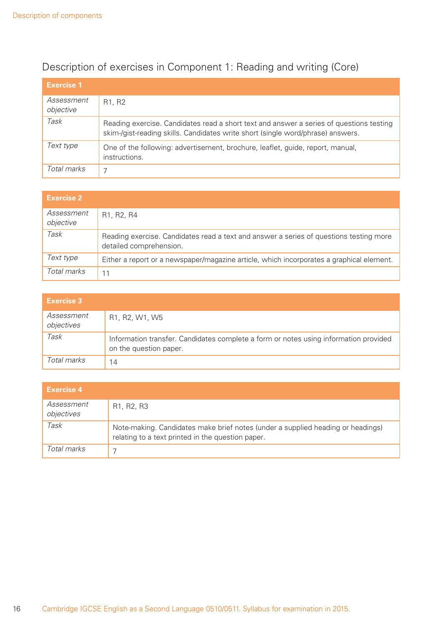### Description of exercises in Component 1: Reading and writing (Core)

| <b>Exercise 1</b>       |                                                                                                                                                                            |
|-------------------------|----------------------------------------------------------------------------------------------------------------------------------------------------------------------------|
| Assessment<br>objective | R <sub>1</sub> , R <sub>2</sub>                                                                                                                                            |
| Task                    | Reading exercise. Candidates read a short text and answer a series of questions testing<br>skim-/gist-reading skills. Candidates write short (single word/phrase) answers. |
| Text type               | One of the following: advertisement, brochure, leaflet, guide, report, manual,<br>instructions.                                                                            |
| Total marks             |                                                                                                                                                                            |

| <b>Exercise 2</b>       |                                                                                                                   |
|-------------------------|-------------------------------------------------------------------------------------------------------------------|
| Assessment<br>objective | R <sub>1</sub> , R <sub>2</sub> , R <sub>4</sub>                                                                  |
| Task                    | Reading exercise. Candidates read a text and answer a series of questions testing more<br>detailed comprehension. |
| Text type               | Either a report or a newspaper/magazine article, which incorporates a graphical element.                          |
| Total marks             |                                                                                                                   |

| <b>Exercise 3</b>        |                                                                                                                |
|--------------------------|----------------------------------------------------------------------------------------------------------------|
| Assessment<br>objectives | R1, R2, W1, W5                                                                                                 |
| Task                     | Information transfer. Candidates complete a form or notes using information provided<br>on the question paper. |
| Total marks              | 14                                                                                                             |

| <b>Exercise 4</b>        |                                                                                                                                      |
|--------------------------|--------------------------------------------------------------------------------------------------------------------------------------|
| Assessment<br>objectives | R <sub>1</sub> , R <sub>2</sub> , R <sub>3</sub>                                                                                     |
| Task                     | Note-making. Candidates make brief notes (under a supplied heading or headings)<br>relating to a text printed in the question paper. |
| Total marks              |                                                                                                                                      |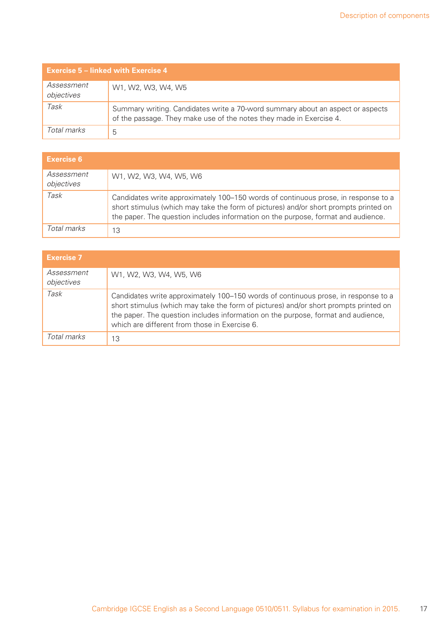| <b>Exercise 5 – linked with Exercise 4</b> |                                                                                                                                                       |  |
|--------------------------------------------|-------------------------------------------------------------------------------------------------------------------------------------------------------|--|
| Assessment<br>objectives                   | W1, W2, W3, W4, W5                                                                                                                                    |  |
| Task                                       | Summary writing. Candidates write a 70-word summary about an aspect or aspects<br>of the passage. They make use of the notes they made in Exercise 4. |  |
| Total marks                                | ხ                                                                                                                                                     |  |

| <b>Exercise 6</b>        |                                                                                                                                                                                                                                                                 |
|--------------------------|-----------------------------------------------------------------------------------------------------------------------------------------------------------------------------------------------------------------------------------------------------------------|
| Assessment<br>objectives | W1, W2, W3, W4, W5, W6                                                                                                                                                                                                                                          |
| Task                     | Candidates write approximately 100–150 words of continuous prose, in response to a<br>short stimulus (which may take the form of pictures) and/or short prompts printed on<br>the paper. The question includes information on the purpose, format and audience. |
| Total marks              | 13                                                                                                                                                                                                                                                              |

| <b>Exercise 7</b>        |                                                                                                                                                                                                                                                                                                                  |
|--------------------------|------------------------------------------------------------------------------------------------------------------------------------------------------------------------------------------------------------------------------------------------------------------------------------------------------------------|
| Assessment<br>objectives | W1, W2, W3, W4, W5, W6                                                                                                                                                                                                                                                                                           |
| Task                     | Candidates write approximately 100-150 words of continuous prose, in response to a<br>short stimulus (which may take the form of pictures) and/or short prompts printed on<br>the paper. The question includes information on the purpose, format and audience,<br>which are different from those in Exercise 6. |
| Total marks              | 13                                                                                                                                                                                                                                                                                                               |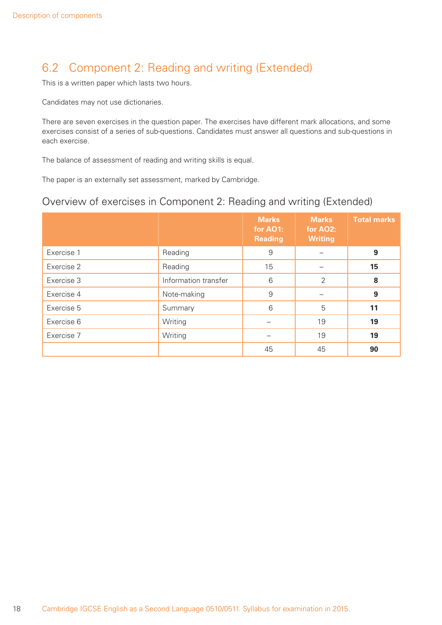## 6.2 Component 2: Reading and writing (Extended)

This is a written paper which lasts two hours.

Candidates may not use dictionaries.

There are seven exercises in the question paper. The exercises have different mark allocations, and some exercises consist of a series of sub-questions. Candidates must answer all questions and sub-questions in each exercise.

The balance of assessment of reading and writing skills is equal.

The paper is an externally set assessment, marked by Cambridge.

### Overview of exercises in Component 2: Reading and writing (Extended)

|            |                      | <b>Marks</b><br>for AO1:<br><b>Reading</b> | <b>Marks</b><br>for AO2:<br><b>Writing</b> | <b>Total marks</b> |
|------------|----------------------|--------------------------------------------|--------------------------------------------|--------------------|
| Exercise 1 | Reading              | 9                                          |                                            | 9                  |
| Exercise 2 | Reading              | 15                                         |                                            | 15                 |
| Exercise 3 | Information transfer | 6                                          | 2                                          | 8                  |
| Exercise 4 | Note-making          | $9\,$                                      |                                            | $\overline{9}$     |
| Exercise 5 | Summary              | 6                                          | 5                                          | 11                 |
| Exercise 6 | Writing              |                                            | 19                                         | 19                 |
| Exercise 7 | Writing              |                                            | 19                                         | 19                 |
|            |                      | 45                                         | 45                                         | 90                 |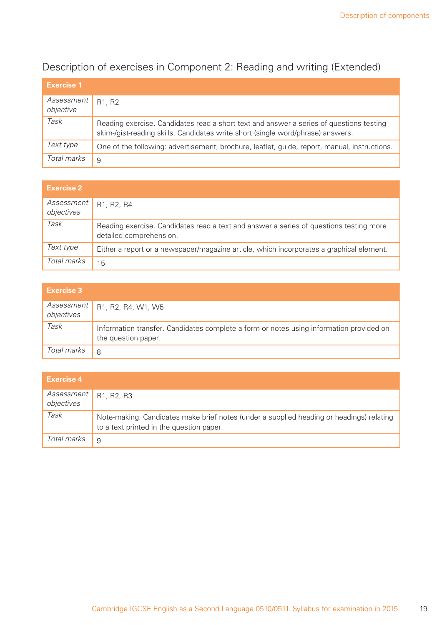## Description of exercises in Component 2: Reading and writing (Extended)

| <b>Exercise 1</b>       |                                                                                                                                                                            |
|-------------------------|----------------------------------------------------------------------------------------------------------------------------------------------------------------------------|
| Assessment<br>objective | R <sub>1</sub> , R <sub>2</sub>                                                                                                                                            |
| Task                    | Reading exercise. Candidates read a short text and answer a series of questions testing<br>skim-/gist-reading skills. Candidates write short (single word/phrase) answers. |
| Text type               | One of the following: advertisement, brochure, leaflet, guide, report, manual, instructions.                                                                               |
| Total marks             | 9                                                                                                                                                                          |

| <b>Exercise 2</b>        |                                                                                                                   |
|--------------------------|-------------------------------------------------------------------------------------------------------------------|
| Assessment<br>objectives | R1, R2, R4                                                                                                        |
| Task                     | Reading exercise. Candidates read a text and answer a series of questions testing more<br>detailed comprehension. |
| Text type                | Either a report or a newspaper/magazine article, which incorporates a graphical element.                          |
| Total marks              | 15                                                                                                                |

| <b>Exercise 3</b>        |                                                                                                                |
|--------------------------|----------------------------------------------------------------------------------------------------------------|
| Assessment<br>objectives | R1, R2, R4, W1, W5                                                                                             |
| Task                     | Information transfer. Candidates complete a form or notes using information provided on<br>the question paper. |
| Total marks              |                                                                                                                |

| <b>Exercise 4</b>        |                                                                                                                                      |
|--------------------------|--------------------------------------------------------------------------------------------------------------------------------------|
| Assessment<br>objectives | R <sub>1</sub> , R <sub>2</sub> , R <sub>3</sub>                                                                                     |
| Task                     | Note-making. Candidates make brief notes (under a supplied heading or headings) relating<br>to a text printed in the question paper. |
| Total marks              | 9                                                                                                                                    |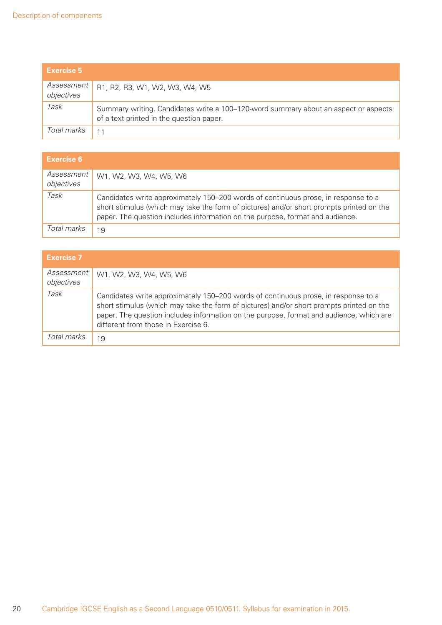| <b>Exercise 5</b>        |                                                                                                                                 |
|--------------------------|---------------------------------------------------------------------------------------------------------------------------------|
| Assessment<br>objectives | R1, R2, R3, W1, W2, W3, W4, W5                                                                                                  |
| Task                     | Summary writing. Candidates write a 100–120-word summary about an aspect or aspects<br>of a text printed in the question paper. |
| Total marks              | 11                                                                                                                              |

| <b>Exercise 6</b>        |                                                                                                                                                                                                                                                                 |
|--------------------------|-----------------------------------------------------------------------------------------------------------------------------------------------------------------------------------------------------------------------------------------------------------------|
| Assessment<br>objectives | W1, W2, W3, W4, W5, W6                                                                                                                                                                                                                                          |
| Task                     | Candidates write approximately 150–200 words of continuous prose, in response to a<br>short stimulus (which may take the form of pictures) and/or short prompts printed on the<br>paper. The question includes information on the purpose, format and audience. |
| Total marks              | 19                                                                                                                                                                                                                                                              |

| <b>Exercise 7</b>        |                                                                                                                                                                                                                                                                                                                  |
|--------------------------|------------------------------------------------------------------------------------------------------------------------------------------------------------------------------------------------------------------------------------------------------------------------------------------------------------------|
| Assessment<br>objectives | W1, W2, W3, W4, W5, W6                                                                                                                                                                                                                                                                                           |
| Task                     | Candidates write approximately 150–200 words of continuous prose, in response to a<br>short stimulus (which may take the form of pictures) and/or short prompts printed on the<br>paper. The question includes information on the purpose, format and audience, which are<br>different from those in Exercise 6. |
| Total marks              | 19                                                                                                                                                                                                                                                                                                               |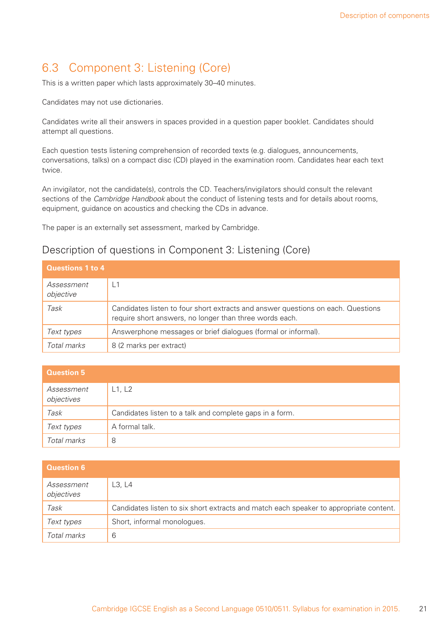### 6.3 Component 3: Listening (Core)

This is a written paper which lasts approximately 30–40 minutes.

Candidates may not use dictionaries.

Candidates write all their answers in spaces provided in a question paper booklet. Candidates should attempt all questions.

Each question tests listening comprehension of recorded texts (e.g. dialogues, announcements, conversations, talks) on a compact disc (CD) played in the examination room. Candidates hear each text twice.

An invigilator, not the candidate(s), controls the CD. Teachers/invigilators should consult the relevant sections of the *Cambridge Handbook* about the conduct of listening tests and for details about rooms, equipment, guidance on acoustics and checking the CDs in advance.

The paper is an externally set assessment, marked by Cambridge.

### Description of questions in Component 3: Listening (Core)

| Questions 1 to 4        |                                                                                                                                             |  |
|-------------------------|---------------------------------------------------------------------------------------------------------------------------------------------|--|
| Assessment<br>objective |                                                                                                                                             |  |
| Task                    | Candidates listen to four short extracts and answer questions on each. Questions<br>require short answers, no longer than three words each. |  |
| Text types              | Answerphone messages or brief dialogues (formal or informal).                                                                               |  |
| Total marks             | 8 (2 marks per extract)                                                                                                                     |  |

| <b>Question 5</b>        |                                                          |
|--------------------------|----------------------------------------------------------|
| Assessment<br>objectives | L1, L2                                                   |
| Task                     | Candidates listen to a talk and complete gaps in a form. |
| Text types               | A formal talk.                                           |
| Total marks              | 8                                                        |

| Question 6               |                                                                                        |
|--------------------------|----------------------------------------------------------------------------------------|
| Assessment<br>objectives | L3, L4                                                                                 |
| Task                     | Candidates listen to six short extracts and match each speaker to appropriate content. |
| Text types               | Short, informal monologues.                                                            |
| Total marks              | 6                                                                                      |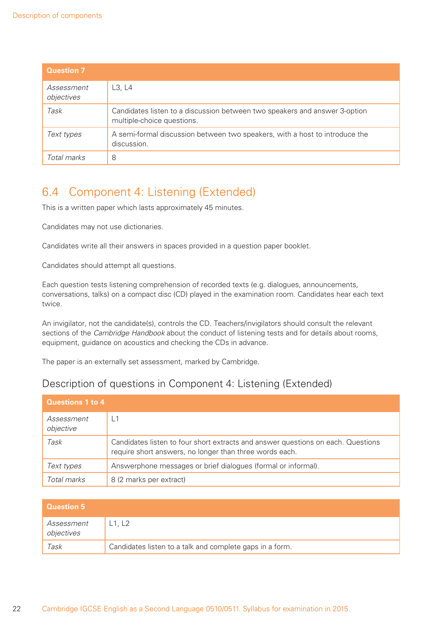| <b>Question 7</b>        |                                                                                                          |
|--------------------------|----------------------------------------------------------------------------------------------------------|
| Assessment<br>objectives | L3, L4                                                                                                   |
| Task                     | Candidates listen to a discussion between two speakers and answer 3-option<br>multiple-choice questions. |
| Text types               | A semi-formal discussion between two speakers, with a host to introduce the<br>discussion.               |
| Total marks              | 8                                                                                                        |

## 6.4 Component 4: Listening (Extended)

This is a written paper which lasts approximately 45 minutes.

Candidates may not use dictionaries.

Candidates write all their answers in spaces provided in a question paper booklet.

Candidates should attempt all questions.

Each question tests listening comprehension of recorded texts (e.g. dialogues, announcements, conversations, talks) on a compact disc (CD) played in the examination room. Candidates hear each text twice.

An invigilator, not the candidate(s), controls the CD. Teachers/invigilators should consult the relevant sections of the *Cambridge Handbook* about the conduct of listening tests and for details about rooms, equipment, guidance on acoustics and checking the CDs in advance.

The paper is an externally set assessment, marked by Cambridge.

### Description of questions in Component 4: Listening (Extended)

| <b>Questions 1 to 4</b> |                                                                                                                                             |  |
|-------------------------|---------------------------------------------------------------------------------------------------------------------------------------------|--|
| Assessment<br>objective |                                                                                                                                             |  |
| Task                    | Candidates listen to four short extracts and answer questions on each. Questions<br>require short answers, no longer than three words each. |  |
| Text types              | Answerphone messages or brief dialogues (formal or informal).                                                                               |  |
| Total marks             | 8 (2 marks per extract)                                                                                                                     |  |

| Question 5               |                                                          |
|--------------------------|----------------------------------------------------------|
| Assessment<br>objectives | L1, L2                                                   |
| Task                     | Candidates listen to a talk and complete gaps in a form. |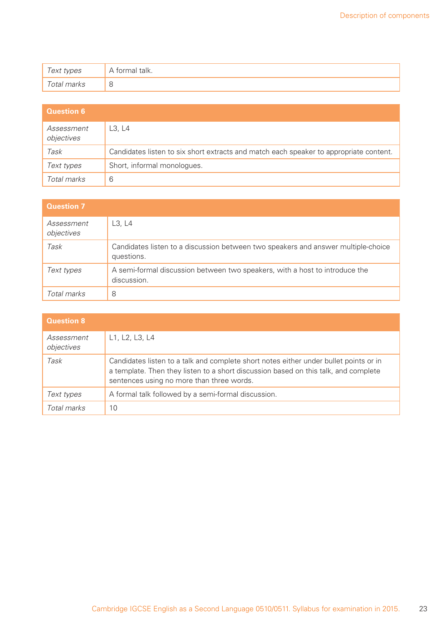| Text types  | ' A formal talk. |
|-------------|------------------|
| Total marks |                  |

| Question 6               |                                                                                        |
|--------------------------|----------------------------------------------------------------------------------------|
| Assessment<br>objectives | L3, L4                                                                                 |
| Task                     | Candidates listen to six short extracts and match each speaker to appropriate content. |
| Text types               | Short, informal monologues.                                                            |
| Total marks              | 6                                                                                      |

| <b>Question 7</b>        |                                                                                                 |
|--------------------------|-------------------------------------------------------------------------------------------------|
| Assessment<br>objectives | L3, L4                                                                                          |
| Task                     | Candidates listen to a discussion between two speakers and answer multiple-choice<br>questions. |
| Text types               | A semi-formal discussion between two speakers, with a host to introduce the<br>discussion.      |
| Total marks              | 8                                                                                               |

| <b>Question 8</b>        |                                                                                                                                                                                                                           |
|--------------------------|---------------------------------------------------------------------------------------------------------------------------------------------------------------------------------------------------------------------------|
| Assessment<br>objectives | L1, L2, L3, L4                                                                                                                                                                                                            |
| Task                     | Candidates listen to a talk and complete short notes either under bullet points or in<br>a template. Then they listen to a short discussion based on this talk, and complete<br>sentences using no more than three words. |
| Text types               | A formal talk followed by a semi-formal discussion.                                                                                                                                                                       |
| Total marks              | 10                                                                                                                                                                                                                        |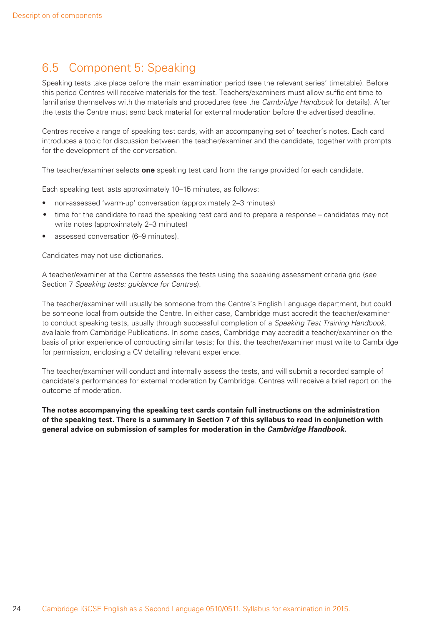### 6.5 Component 5: Speaking

Speaking tests take place before the main examination period (see the relevant series' timetable). Before this period Centres will receive materials for the test. Teachers/examiners must allow sufficient time to familiarise themselves with the materials and procedures (see the *Cambridge Handbook* for details). After the tests the Centre must send back material for external moderation before the advertised deadline.

Centres receive a range of speaking test cards, with an accompanying set of teacher's notes. Each card introduces a topic for discussion between the teacher/examiner and the candidate, together with prompts for the development of the conversation.

The teacher/examiner selects **one** speaking test card from the range provided for each candidate.

Each speaking test lasts approximately 10–15 minutes, as follows:

- non-assessed 'warm-up' conversation (approximately 2–3 minutes)
- time for the candidate to read the speaking test card and to prepare a response candidates may not write notes (approximately 2–3 minutes)
- assessed conversation (6–9 minutes).

Candidates may not use dictionaries.

A teacher/examiner at the Centre assesses the tests using the speaking assessment criteria grid (see Section 7 Speaking tests: guidance for Centres).

The teacher/examiner will usually be someone from the Centre's English Language department, but could be someone local from outside the Centre. In either case, Cambridge must accredit the teacher/examiner to conduct speaking tests, usually through successful completion of a Speaking Test Training Handbook, available from Cambridge Publications. In some cases, Cambridge may accredit a teacher/examiner on the basis of prior experience of conducting similar tests; for this, the teacher/examiner must write to Cambridge for permission, enclosing a CV detailing relevant experience.

The teacher/examiner will conduct and internally assess the tests, and will submit a recorded sample of candidate's performances for external moderation by Cambridge. Centres will receive a brief report on the outcome of moderation.

**The notes accompanying the speaking test cards contain full instructions on the administration of the speaking test. There is a summary in Section 7 of this syllabus to read in conjunction with general advice on submission of samples for moderation in the Cambridge Handbook.**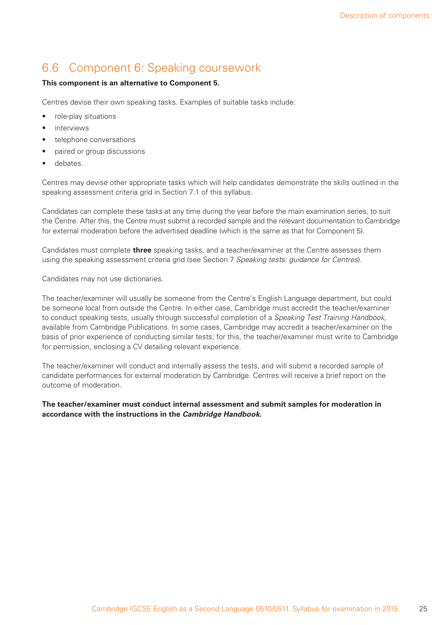### 6.6 Component 6: Speaking coursework

#### **This component is an alternative to Component 5.**

Centres devise their own speaking tasks. Examples of suitable tasks include:

- role-play situations
- interviews
- telephone conversations
- paired or group discussions
- debates.

Centres may devise other appropriate tasks which will help candidates demonstrate the skills outlined in the speaking assessment criteria grid in Section 7.1 of this syllabus.

Candidates can complete these tasks at any time during the year before the main examination series, to suit the Centre. After this, the Centre must submit a recorded sample and the relevant documentation to Cambridge for external moderation before the advertised deadline (which is the same as that for Component 5).

Candidates must complete **three** speaking tasks, and a teacher/examiner at the Centre assesses them using the speaking assessment criteria grid (see Section 7 Speaking tests: guidance for Centres).

Candidates may not use dictionaries.

The teacher/examiner will usually be someone from the Centre's English Language department, but could be someone local from outside the Centre. In either case, Cambridge must accredit the teacher/examiner to conduct speaking tests, usually through successful completion of a Speaking Test Training Handbook, available from Cambridge Publications. In some cases, Cambridge may accredit a teacher/examiner on the basis of prior experience of conducting similar tests; for this, the teacher/examiner must write to Cambridge for permission, enclosing a CV detailing relevant experience.

The teacher/examiner will conduct and internally assess the tests, and will submit a recorded sample of candidate performances for external moderation by Cambridge. Centres will receive a brief report on the outcome of moderation.

#### **The teacher/examiner must conduct internal assessment and submit samples for moderation in accordance with the instructions in the Cambridge Handbook.**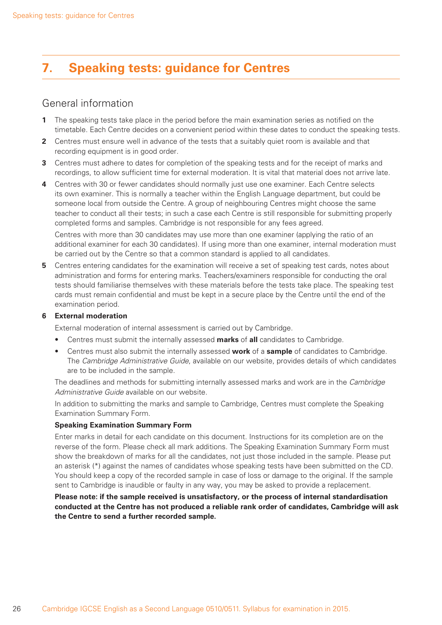## **7. Speaking tests: guidance for Centres**

#### General information

- **1** The speaking tests take place in the period before the main examination series as notified on the timetable. Each Centre decides on a convenient period within these dates to conduct the speaking tests.
- **2** Centres must ensure well in advance of the tests that a suitably quiet room is available and that recording equipment is in good order.
- **3** Centres must adhere to dates for completion of the speaking tests and for the receipt of marks and recordings, to allow sufficient time for external moderation. It is vital that material does not arrive late.
- **4** Centres with 30 or fewer candidates should normally just use one examiner. Each Centre selects its own examiner. This is normally a teacher within the English Language department, but could be someone local from outside the Centre. A group of neighbouring Centres might choose the same teacher to conduct all their tests; in such a case each Centre is still responsible for submitting properly completed forms and samples. Cambridge is not responsible for any fees agreed.

 Centres with more than 30 candidates may use more than one examiner (applying the ratio of an additional examiner for each 30 candidates). If using more than one examiner, internal moderation must be carried out by the Centre so that a common standard is applied to all candidates.

**5** Centres entering candidates for the examination will receive a set of speaking test cards, notes about administration and forms for entering marks. Teachers/examiners responsible for conducting the oral tests should familiarise themselves with these materials before the tests take place. The speaking test cards must remain confidential and must be kept in a secure place by the Centre until the end of the examination period.

#### **6 External moderation**

External moderation of internal assessment is carried out by Cambridge.

- Centres must submit the internally assessed **marks** of **all** candidates to Cambridge.
- Centres must also submit the internally assessed **work** of a **sample** of candidates to Cambridge. The Cambridge Administrative Guide, available on our website, provides details of which candidates are to be included in the sample.

The deadlines and methods for submitting internally assessed marks and work are in the Cambridge Administrative Guide available on our website.

In addition to submitting the marks and sample to Cambridge, Centres must complete the Speaking Examination Summary Form.

#### **Speaking Examination Summary Form**

 Enter marks in detail for each candidate on this document. Instructions for its completion are on the reverse of the form. Please check all mark additions. The Speaking Examination Summary Form must show the breakdown of marks for all the candidates, not just those included in the sample. Please put an asterisk (\*) against the names of candidates whose speaking tests have been submitted on the CD. You should keep a copy of the recorded sample in case of loss or damage to the original. If the sample sent to Cambridge is inaudible or faulty in any way, you may be asked to provide a replacement.

 **Please note: if the sample received is unsatisfactory, or the process of internal standardisation conducted at the Centre has not produced a reliable rank order of candidates, Cambridge will ask the Centre to send a further recorded sample.**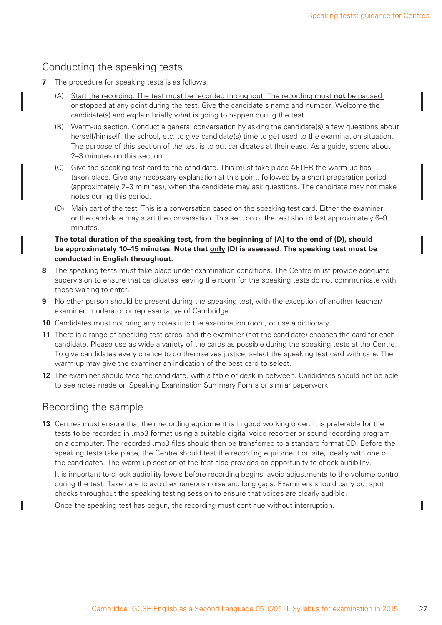### Conducting the speaking tests

- **7** The procedure for speaking tests is as follows:
	- (A) Start the recording. The test must be recorded throughout. The recording must **not** be paused or stopped at any point during the test. Give the candidate's name and number. Welcome the candidate(s) and explain briefly what is going to happen during the test.
	- (B) Warm-up section. Conduct a general conversation by asking the candidate(s) a few questions about herself/himself, the school, etc. to give candidate(s) time to get used to the examination situation. The purpose of this section of the test is to put candidates at their ease. As a guide, spend about 2–3 minutes on this section.
	- (C) Give the speaking test card to the candidate. This must take place AFTER the warm-up has taken place. Give any necessary explanation at this point, followed by a short preparation period (approximately 2–3 minutes), when the candidate may ask questions. The candidate may not make notes during this period.
	- (D) Main part of the test. This is a conversation based on the speaking test card. Either the examiner or the candidate may start the conversation. This section of the test should last approximately 6–9 minutes.

#### **The total duration of the speaking test, from the beginning of (A) to the end of (D), should be approximately 10–15 minutes. Note that only (D) is assessed**. **The speaking test must be conducted in English throughout.**

- **8** The speaking tests must take place under examination conditions. The Centre must provide adequate supervision to ensure that candidates leaving the room for the speaking tests do not communicate with those waiting to enter.
- **9** No other person should be present during the speaking test, with the exception of another teacher/ examiner, moderator or representative of Cambridge.
- **10** Candidates must not bring any notes into the examination room, or use a dictionary.
- **11** There is a range of speaking test cards, and the examiner (not the candidate) chooses the card for each candidate. Please use as wide a variety of the cards as possible during the speaking tests at the Centre. To give candidates every chance to do themselves justice, select the speaking test card with care. The warm-up may give the examiner an indication of the best card to select.
- **12** The examiner should face the candidate, with a table or desk in between. Candidates should not be able to see notes made on Speaking Examination Summary Forms or similar paperwork.

### Recording the sample

**13** Centres must ensure that their recording equipment is in good working order. It is preferable for the tests to be recorded in .mp3 format using a suitable digital voice recorder or sound recording program on a computer. The recorded .mp3 files should then be transferred to a standard format CD. Before the speaking tests take place, the Centre should test the recording equipment on site, ideally with one of the candidates. The warm-up section of the test also provides an opportunity to check audibility.

 It is important to check audibility levels before recording begins; avoid adjustments to the volume control during the test. Take care to avoid extraneous noise and long gaps. Examiners should carry out spot checks throughout the speaking testing session to ensure that voices are clearly audible.

Once the speaking test has begun, the recording must continue without interruption.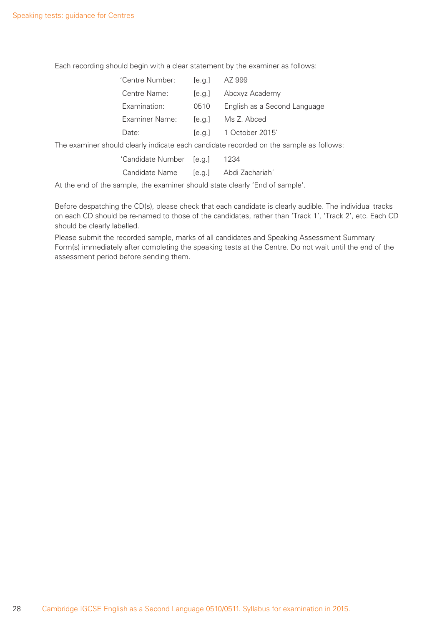Each recording should begin with a clear statement by the examiner as follows:

| 'Centre Number:                                                                        | [e.q.] | AZ 999                       |
|----------------------------------------------------------------------------------------|--------|------------------------------|
| Centre Name:                                                                           | le.a.l | Abcxyz Academy               |
| Examination:                                                                           | 0510   | English as a Second Language |
| Examiner Name:                                                                         | [e.q.] | Ms Z. Abced                  |
| Date:                                                                                  | le.a.1 | 1 October 2015'              |
| The examiner should clearly indicate each candidate recorded on the sample as follows: |        |                              |

| 'Candidate Number [e.g.] |      | 1234            |
|--------------------------|------|-----------------|
| Candidate Name           | e.q. | Abdi Zachariah' |

At the end of the sample, the examiner should state clearly 'End of sample'.

 Before despatching the CD(s), please check that each candidate is clearly audible. The individual tracks on each CD should be re-named to those of the candidates, rather than 'Track 1', 'Track 2', etc. Each CD should be clearly labelled.

 Please submit the recorded sample, marks of all candidates and Speaking Assessment Summary Form(s) immediately after completing the speaking tests at the Centre. Do not wait until the end of the assessment period before sending them.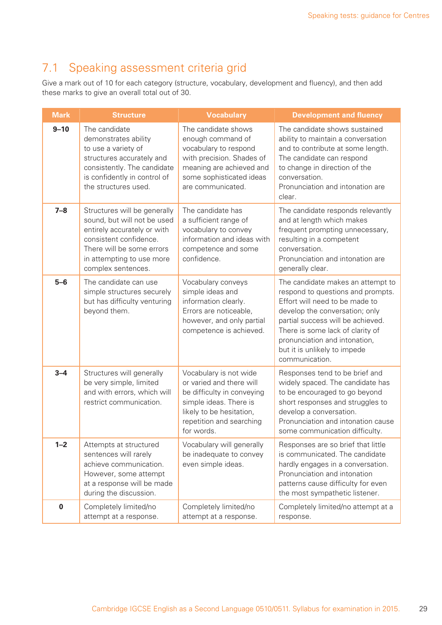## 7.1 Speaking assessment criteria grid

Give a mark out of 10 for each category (structure, vocabulary, development and fluency), and then add these marks to give an overall total out of 30.

| <b>Mark</b> | <b>Structure</b>                                                                                                                                                                                     | <b>Vocabulary</b>                                                                                                                                                                | <b>Development and fluency</b>                                                                                                                                                                                                                                                                         |
|-------------|------------------------------------------------------------------------------------------------------------------------------------------------------------------------------------------------------|----------------------------------------------------------------------------------------------------------------------------------------------------------------------------------|--------------------------------------------------------------------------------------------------------------------------------------------------------------------------------------------------------------------------------------------------------------------------------------------------------|
| $9 - 10$    | The candidate<br>demonstrates ability<br>to use a variety of<br>structures accurately and<br>consistently. The candidate<br>is confidently in control of<br>the structures used.                     | The candidate shows<br>enough command of<br>vocabulary to respond<br>with precision. Shades of<br>meaning are achieved and<br>some sophisticated ideas<br>are communicated.      | The candidate shows sustained<br>ability to maintain a conversation<br>and to contribute at some length.<br>The candidate can respond<br>to change in direction of the<br>conversation.<br>Pronunciation and intonation are<br>clear.                                                                  |
| $7 - 8$     | Structures will be generally<br>sound, but will not be used<br>entirely accurately or with<br>consistent confidence.<br>There will be some errors<br>in attempting to use more<br>complex sentences. | The candidate has<br>a sufficient range of<br>vocabulary to convey<br>information and ideas with<br>competence and some<br>confidence.                                           | The candidate responds relevantly<br>and at length which makes<br>frequent prompting unnecessary,<br>resulting in a competent<br>conversation.<br>Pronunciation and intonation are<br>generally clear.                                                                                                 |
| $5-6$       | The candidate can use<br>simple structures securely<br>but has difficulty venturing<br>beyond them.                                                                                                  | Vocabulary conveys<br>simple ideas and<br>information clearly.<br>Errors are noticeable,<br>however, and only partial<br>competence is achieved.                                 | The candidate makes an attempt to<br>respond to questions and prompts.<br>Effort will need to be made to<br>develop the conversation; only<br>partial success will be achieved.<br>There is some lack of clarity of<br>pronunciation and intonation,<br>but it is unlikely to impede<br>communication. |
| $3 - 4$     | Structures will generally<br>be very simple, limited<br>and with errors, which will<br>restrict communication.                                                                                       | Vocabulary is not wide<br>or varied and there will<br>be difficulty in conveying<br>simple ideas. There is<br>likely to be hesitation,<br>repetition and searching<br>for words. | Responses tend to be brief and<br>widely spaced. The candidate has<br>to be encouraged to go beyond<br>short responses and struggles to<br>develop a conversation.<br>Pronunciation and intonation cause<br>some communication difficulty.                                                             |
| $1 - 2$     | Attempts at structured<br>sentences will rarely<br>achieve communication.<br>However, some attempt<br>at a response will be made<br>during the discussion.                                           | Vocabulary will generally<br>be inadequate to convey<br>even simple ideas.                                                                                                       | Responses are so brief that little<br>is communicated. The candidate<br>hardly engages in a conversation.<br>Pronunciation and intonation<br>patterns cause difficulty for even<br>the most sympathetic listener.                                                                                      |
| $\mathbf 0$ | Completely limited/no<br>attempt at a response.                                                                                                                                                      | Completely limited/no<br>attempt at a response.                                                                                                                                  | Completely limited/no attempt at a<br>response.                                                                                                                                                                                                                                                        |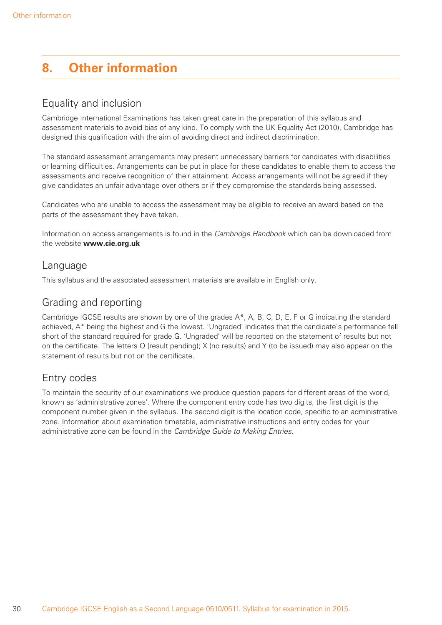## **8. Other information**

### Equality and inclusion

Cambridge International Examinations has taken great care in the preparation of this syllabus and assessment materials to avoid bias of any kind. To comply with the UK Equality Act (2010), Cambridge has designed this qualification with the aim of avoiding direct and indirect discrimination.

The standard assessment arrangements may present unnecessary barriers for candidates with disabilities or learning difficulties. Arrangements can be put in place for these candidates to enable them to access the assessments and receive recognition of their attainment. Access arrangements will not be agreed if they give candidates an unfair advantage over others or if they compromise the standards being assessed.

Candidates who are unable to access the assessment may be eligible to receive an award based on the parts of the assessment they have taken.

Information on access arrangements is found in the Cambridge Handbook which can be downloaded from the website **www.cie.org.uk**

#### Language

This syllabus and the associated assessment materials are available in English only.

### Grading and reporting

Cambridge IGCSE results are shown by one of the grades A\*, A, B, C, D, E, F or G indicating the standard achieved, A\* being the highest and G the lowest. 'Ungraded' indicates that the candidate's performance fell short of the standard required for grade G. 'Ungraded' will be reported on the statement of results but not on the certificate. The letters  $Q$  (result pending);  $X$  (no results) and  $Y$  (to be issued) may also appear on the statement of results but not on the certificate.

### Entry codes

To maintain the security of our examinations we produce question papers for different areas of the world, known as 'administrative zones'. Where the component entry code has two digits, the first digit is the component number given in the syllabus. The second digit is the location code, specific to an administrative zone. Information about examination timetable, administrative instructions and entry codes for your administrative zone can be found in the Cambridge Guide to Making Entries.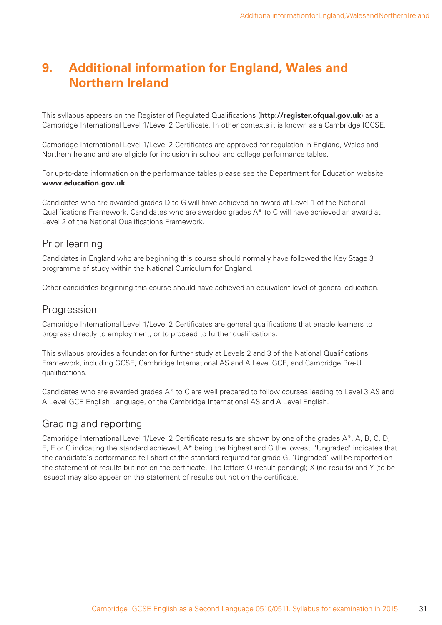## **9. Additional information for England, Wales and Northern Ireland**

This syllabus appears on the Register of Regulated Qualifications (**http://register.ofqual.gov.uk**) as a Cambridge International Level 1/Level 2 Certificate. In other contexts it is known as a Cambridge IGCSE.

Cambridge International Level 1/Level 2 Certificates are approved for regulation in England, Wales and Northern Ireland and are eligible for inclusion in school and college performance tables.

For up-to-date information on the performance tables please see the Department for Education website **www.education.gov.uk**

Candidates who are awarded grades D to G will have achieved an award at Level 1 of the National Qualifications Framework. Candidates who are awarded grades A\* to C will have achieved an award at Level 2 of the National Qualifications Framework.

### Prior learning

Candidates in England who are beginning this course should normally have followed the Key Stage 3 programme of study within the National Curriculum for England.

Other candidates beginning this course should have achieved an equivalent level of general education.

#### Progression

Cambridge International Level 1/Level 2 Certificates are general qualifications that enable learners to progress directly to employment, or to proceed to further qualifications.

This syllabus provides a foundation for further study at Levels 2 and 3 of the National Qualifications Framework, including GCSE, Cambridge International AS and A Level GCE, and Cambridge Pre-U qualifications.

Candidates who are awarded grades A\* to C are well prepared to follow courses leading to Level 3 AS and A Level GCE English Language, or the Cambridge International AS and A Level English.

### Grading and reporting

Cambridge International Level 1/Level 2 Certificate results are shown by one of the grades A\*, A, B, C, D, E, F or G indicating the standard achieved, A\* being the highest and G the lowest. 'Ungraded' indicates that the candidate's performance fell short of the standard required for grade G. 'Ungraded' will be reported on the statement of results but not on the certificate. The letters  $Q$  (result pending);  $X$  (no results) and Y (to be issued) may also appear on the statement of results but not on the certificate.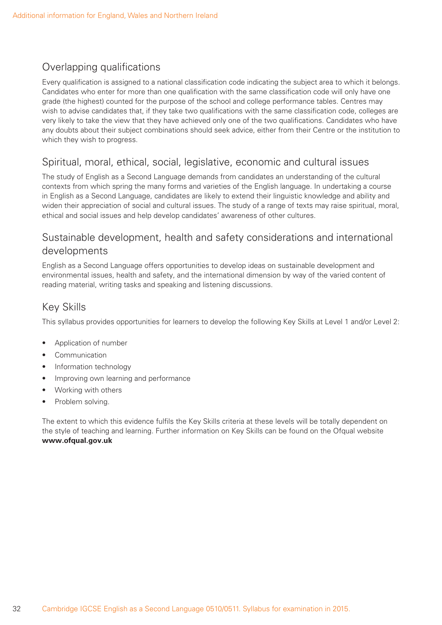### Overlapping qualifications

Every qualification is assigned to a national classification code indicating the subject area to which it belongs. Candidates who enter for more than one qualification with the same classification code will only have one grade (the highest) counted for the purpose of the school and college performance tables. Centres may wish to advise candidates that, if they take two qualifications with the same classification code, colleges are very likely to take the view that they have achieved only one of the two qualifications. Candidates who have any doubts about their subject combinations should seek advice, either from their Centre or the institution to which they wish to progress.

### Spiritual, moral, ethical, social, legislative, economic and cultural issues

The study of English as a Second Language demands from candidates an understanding of the cultural contexts from which spring the many forms and varieties of the English language. In undertaking a course in English as a Second Language, candidates are likely to extend their linguistic knowledge and ability and widen their appreciation of social and cultural issues. The study of a range of texts may raise spiritual, moral, ethical and social issues and help develop candidates' awareness of other cultures.

### Sustainable development, health and safety considerations and international developments

English as a Second Language offers opportunities to develop ideas on sustainable development and environmental issues, health and safety, and the international dimension by way of the varied content of reading material, writing tasks and speaking and listening discussions.

### Key Skills

This syllabus provides opportunities for learners to develop the following Key Skills at Level 1 and/or Level 2:

- Application of number
- Communication
- Information technology
- Improving own learning and performance
- Working with others
- Problem solving.

The extent to which this evidence fulfils the Key Skills criteria at these levels will be totally dependent on the style of teaching and learning. Further information on Key Skills can be found on the Ofqual website **www.ofqual.gov.uk**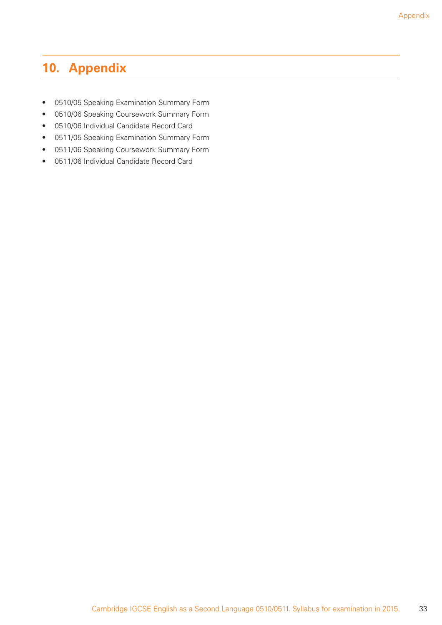## **10. Appendix**

- 0510/05 Speaking Examination Summary Form
- 0510/06 Speaking Coursework Summary Form
- 0510/06 Individual Candidate Record Card
- 0511/05 Speaking Examination Summary Form
- 0511/06 Speaking Coursework Summary Form
- 0511/06 Individual Candidate Record Card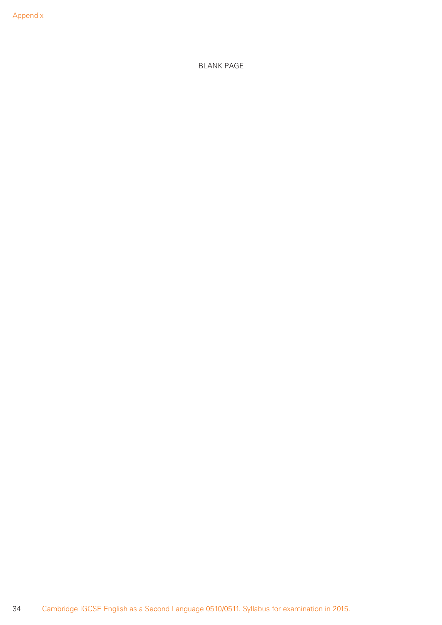BLANK PAGE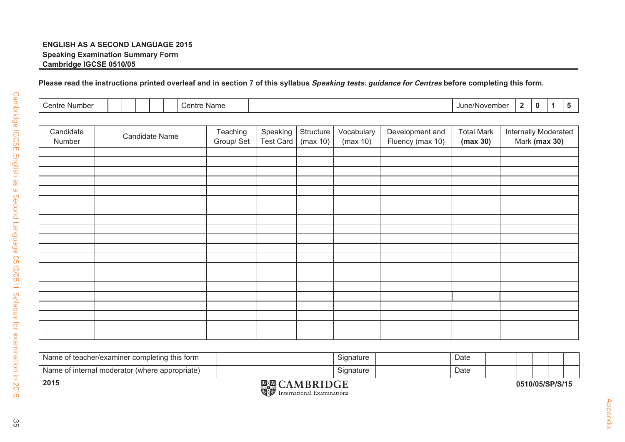#### **Please read the instructions printed overleaf and in section 7 of this syllabus Speaking tests: guidance for Centres before completing this form.**

| Centre Number |                       | Centre Name |            |           |           |            |                  | June/November     | $\overline{2}$              | $\mathbf 0$ | 1             | 5 <sup>5</sup> |
|---------------|-----------------------|-------------|------------|-----------|-----------|------------|------------------|-------------------|-----------------------------|-------------|---------------|----------------|
|               |                       |             |            |           |           |            |                  |                   |                             |             |               |                |
| Candidate     |                       |             | Teaching   | Speaking  | Structure | Vocabulary | Development and  | <b>Total Mark</b> | <b>Internally Moderated</b> |             |               |                |
| Number        | <b>Candidate Name</b> |             | Group/ Set | Test Card | (max 10)  | (max 10)   | Fluency (max 10) | (max 30)          |                             |             | Mark (max 30) |                |
|               |                       |             |            |           |           |            |                  |                   |                             |             |               |                |
|               |                       |             |            |           |           |            |                  |                   |                             |             |               |                |
|               |                       |             |            |           |           |            |                  |                   |                             |             |               |                |
|               |                       |             |            |           |           |            |                  |                   |                             |             |               |                |
|               |                       |             |            |           |           |            |                  |                   |                             |             |               |                |
|               |                       |             |            |           |           |            |                  |                   |                             |             |               |                |
|               |                       |             |            |           |           |            |                  |                   |                             |             |               |                |
|               |                       |             |            |           |           |            |                  |                   |                             |             |               |                |
|               |                       |             |            |           |           |            |                  |                   |                             |             |               |                |
|               |                       |             |            |           |           |            |                  |                   |                             |             |               |                |
|               |                       |             |            |           |           |            |                  |                   |                             |             |               |                |
|               |                       |             |            |           |           |            |                  |                   |                             |             |               |                |
|               |                       |             |            |           |           |            |                  |                   |                             |             |               |                |
|               |                       |             |            |           |           |            |                  |                   |                             |             |               |                |
|               |                       |             |            |           |           |            |                  |                   |                             |             |               |                |
|               |                       |             |            |           |           |            |                  |                   |                             |             |               |                |
|               |                       |             |            |           |           |            |                  |                   |                             |             |               |                |

| Name of teacher/examiner completing this form  | Signature                                         | Date |  |                 |  |
|------------------------------------------------|---------------------------------------------------|------|--|-----------------|--|
| Name of internal moderator (where appropriate) | Signature                                         | Date |  |                 |  |
| 2015                                           | <b>EX CAMBRIDGE</b><br>International Examinations |      |  | 0510/05/SP/S/15 |  |

Cambridge IGCSE English as a Second Language 0510/0511. Syllabus for examination in 2015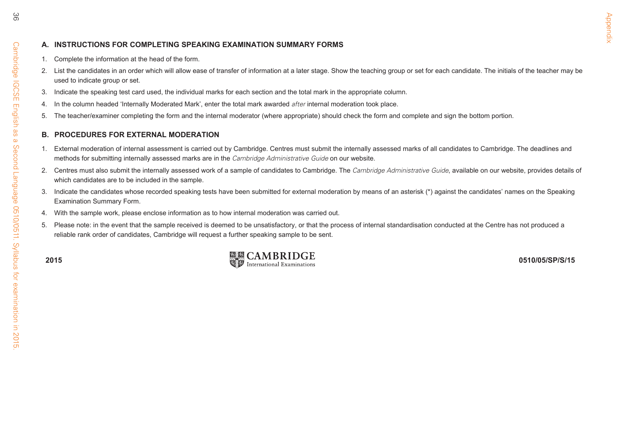- 
- 
- 
- 
- 

- 
- A INSTRUCTIONS FOR COMPLETING SPEAKING TON SUMMATION SUMMARY FORMS<br>
2. Listine candidates in a order with will also exact the formula of information at a later stage, Show the leading quape one for each candidate. The hil
	-
	-
	-

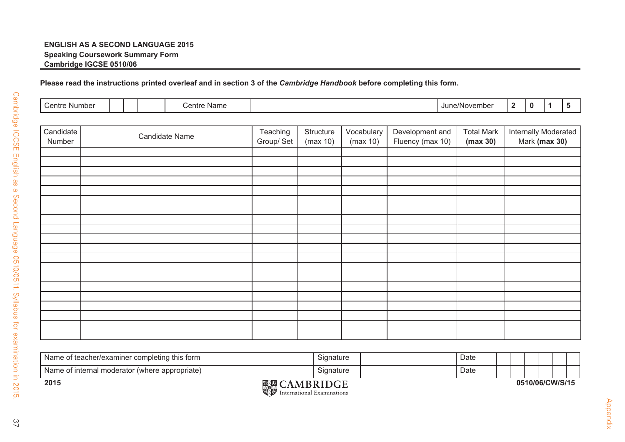#### **Please read the instructions printed overleaf and in section 3 of the** *Cambridge Handbook* **before completing this form.**

| Centre Number       |  |                | Centre Name |                        |                       |                        |                                     | June/November                 | $\overline{\mathbf{2}}$ | $\mathbf 0$ | $\mathbf 1$   | 5 <sub>5</sub>       |
|---------------------|--|----------------|-------------|------------------------|-----------------------|------------------------|-------------------------------------|-------------------------------|-------------------------|-------------|---------------|----------------------|
|                     |  |                |             |                        |                       |                        |                                     |                               |                         |             |               |                      |
| Candidate<br>Number |  | Candidate Name |             | Teaching<br>Group/ Set | Structure<br>(max 10) | Vocabulary<br>(max 10) | Development and<br>Fluency (max 10) | <b>Total Mark</b><br>(max 30) |                         |             | Mark (max 30) | Internally Moderated |
|                     |  |                |             |                        |                       |                        |                                     |                               |                         |             |               |                      |
|                     |  |                |             |                        |                       |                        |                                     |                               |                         |             |               |                      |
|                     |  |                |             |                        |                       |                        |                                     |                               |                         |             |               |                      |
|                     |  |                |             |                        |                       |                        |                                     |                               |                         |             |               |                      |
|                     |  |                |             |                        |                       |                        |                                     |                               |                         |             |               |                      |
|                     |  |                |             |                        |                       |                        |                                     |                               |                         |             |               |                      |
|                     |  |                |             |                        |                       |                        |                                     |                               |                         |             |               |                      |
|                     |  |                |             |                        |                       |                        |                                     |                               |                         |             |               |                      |
|                     |  |                |             |                        |                       |                        |                                     |                               |                         |             |               |                      |
|                     |  |                |             |                        |                       |                        |                                     |                               |                         |             |               |                      |
|                     |  |                |             |                        |                       |                        |                                     |                               |                         |             |               |                      |
|                     |  |                |             |                        |                       |                        |                                     |                               |                         |             |               |                      |
|                     |  |                |             |                        |                       |                        |                                     |                               |                         |             |               |                      |

| 2015                                           | <b>图图 CAMBRIDGE</b> |      |  |  | 0510/06/CW/S/15 |  |
|------------------------------------------------|---------------------|------|--|--|-----------------|--|
| Name of internal moderator (where appropriate) | Signature           | Date |  |  |                 |  |
| Name of teacher/examiner completing this form  | Signature           | Date |  |  |                 |  |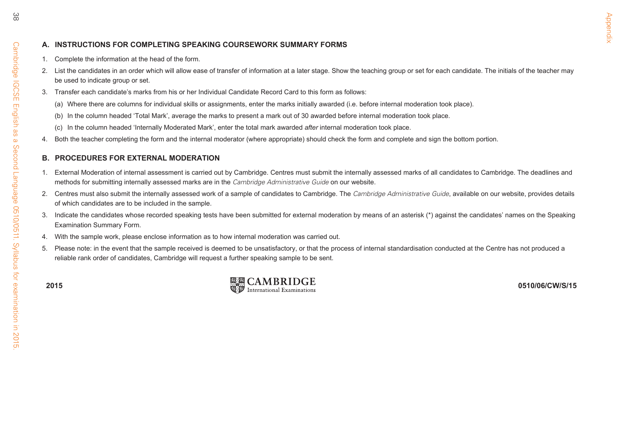- 
- ANSTRUCTIONS FOR COMPLETING SPEANING COURSEVORKS UMMARY FORMS<br>
2. Listine conditions in an order of the form of the form of the state of the state of the state of the state of the state of the state of the state of the sta
	- -
		-
		-
	-

- 
- 
- 
- 
- 

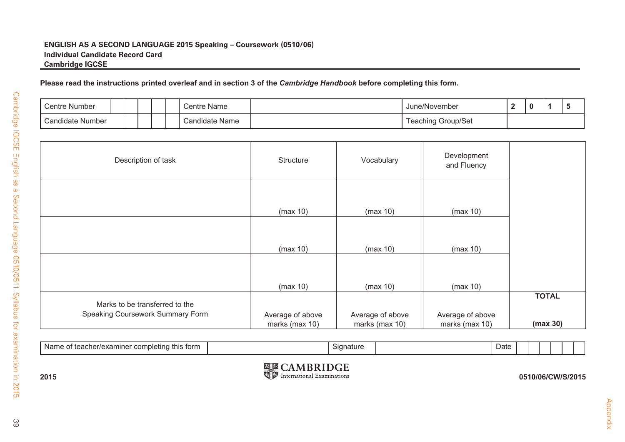**Please read the instructions printed overleaf and in section 3 of the** *Cambridge Handbook* **before completing this form.**

| Centre Number    |  |  | Centre Name           | June/November      | - | n | ູ |
|------------------|--|--|-----------------------|--------------------|---|---|---|
| Candidate Number |  |  | <b>Candidate Name</b> | Teaching Group/Set |   |   |   |

| Description of task              | Structure        | Vocabulary       | Development<br>and Fluency |              |
|----------------------------------|------------------|------------------|----------------------------|--------------|
|                                  |                  |                  |                            |              |
|                                  | (max 10)         | (max 10)         | (max 10)                   |              |
|                                  |                  |                  |                            |              |
|                                  |                  |                  |                            |              |
|                                  | (max 10)         | (max 10)         | (max 10)                   |              |
|                                  |                  |                  |                            |              |
|                                  | (max 10)         | (max 10)         | (max 10)                   |              |
| Marks to be transferred to the   |                  |                  |                            | <b>TOTAL</b> |
|                                  |                  |                  |                            |              |
| Speaking Coursework Summary Form | Average of above | Average of above | Average of above           |              |
|                                  | marks (max 10)   | marks (max 10)   | marks (max 10)             | (max 30)     |

| completing<br>thn<br>this form<br>Name<br>acher/exar:<br>mıne<br>теа |  | $\mathbf{r}$<br>nna |  | Date |  |  |  |  |  |
|----------------------------------------------------------------------|--|---------------------|--|------|--|--|--|--|--|
|----------------------------------------------------------------------|--|---------------------|--|------|--|--|--|--|--|

**2015**

**0510/06/CW/S/2015**

89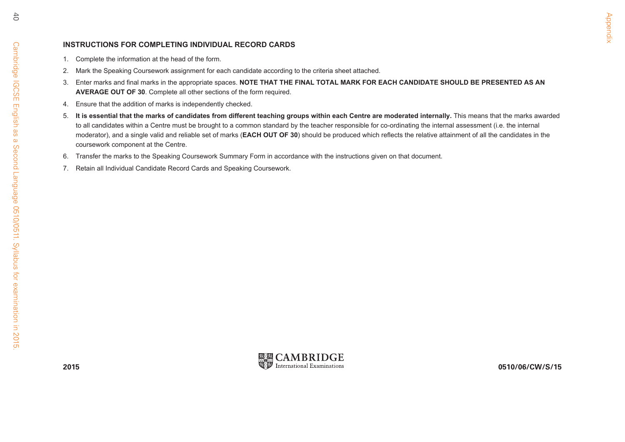- 
- 
- 
- 
- INSTRUCTIONS FOR COMPLETING INDIVIDUAL RECORD CARDS<br>
1. Congide the information at the head of the torm.<br>
2. Mach Responsible Courses on an information and the second of the SUC THAT THE FINAL TOTAL MARK FOR EACH CANDIDAT
	-
	-



40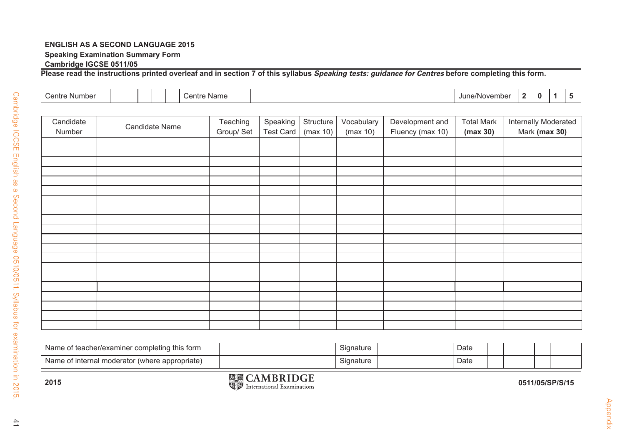#### **ENGLISH AS A SECOND LANGUAGE 2015**

#### **Speaking Examination Summary Form**

**Cambridge IGCSE 0511/05**

**Please read the instructions printed overleaf and in section 7 of this syllabus Speaking tests: guidance for Centres before completing this form.**

| Centre Number |                | Centre Name |            |           |           |            |                  | June/November     | $\overline{\mathbf{2}}$     | $\mathbf 0$   | $\mathbf{1}$ | $5\phantom{a}$ |
|---------------|----------------|-------------|------------|-----------|-----------|------------|------------------|-------------------|-----------------------------|---------------|--------------|----------------|
| Candidate     |                |             | Teaching   | Speaking  | Structure | Vocabulary | Development and  | <b>Total Mark</b> | <b>Internally Moderated</b> |               |              |                |
| Number        | Candidate Name |             | Group/ Set | Test Card | (max 10)  | (max 10)   | Fluency (max 10) | (max 30)          |                             | Mark (max 30) |              |                |
|               |                |             |            |           |           |            |                  |                   |                             |               |              |                |
|               |                |             |            |           |           |            |                  |                   |                             |               |              |                |
|               |                |             |            |           |           |            |                  |                   |                             |               |              |                |
|               |                |             |            |           |           |            |                  |                   |                             |               |              |                |
|               |                |             |            |           |           |            |                  |                   |                             |               |              |                |
|               |                |             |            |           |           |            |                  |                   |                             |               |              |                |
|               |                |             |            |           |           |            |                  |                   |                             |               |              |                |
|               |                |             |            |           |           |            |                  |                   |                             |               |              |                |
|               |                |             |            |           |           |            |                  |                   |                             |               |              |                |
|               |                |             |            |           |           |            |                  |                   |                             |               |              |                |
|               |                |             |            |           |           |            |                  |                   |                             |               |              |                |

| e of teacher/examiner completing this form<br>Nam∈ | Signature | Date |  |  |  |
|----------------------------------------------------|-----------|------|--|--|--|
| ' internal moderator (where appropriate)<br>Name   | Signature | Date |  |  |  |

**2015**



 $\overline{41}$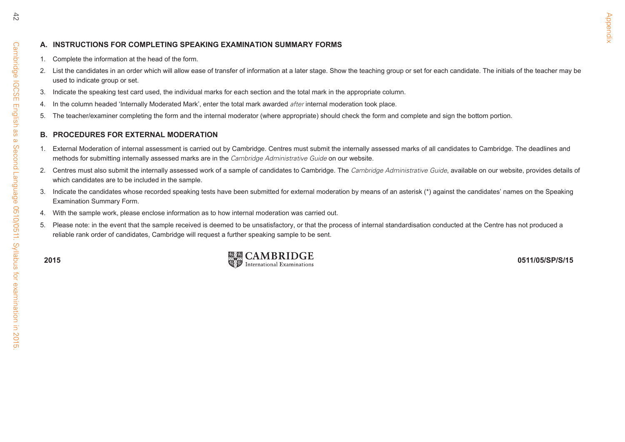- 
- A. INSTRUCTIONS FOR COMPLETING SPEAKING TON SUMMARY FORMS<br>
2. Ltd. the card be formed the former than the same of the star of information at a later star, Show the leading group or set for each cardidate. The initials of
	-
	-
	-

- 
- 
- 
- 
- 

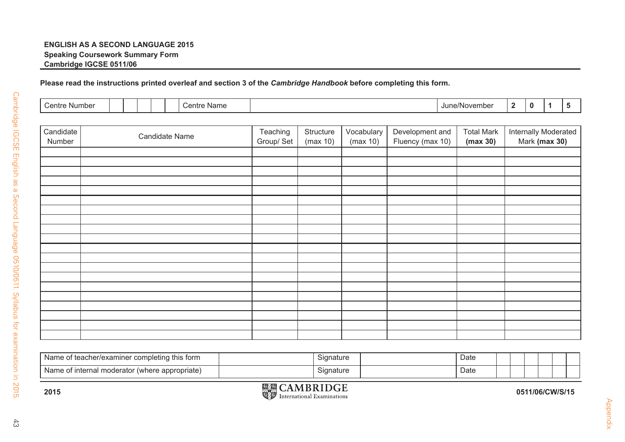#### **Please read the instructions printed overleaf and section 3 of the** *Cambridge Handbook* **before completing this form.**

| Centre Number       |                | Centre Name |                        |                       |                        |                                     | June/November                 | $\overline{\mathbf{2}}$ | $\mathbf 0$ | $\mathbf 1$   | 5 <sub>5</sub>              |
|---------------------|----------------|-------------|------------------------|-----------------------|------------------------|-------------------------------------|-------------------------------|-------------------------|-------------|---------------|-----------------------------|
|                     |                |             |                        |                       |                        |                                     |                               |                         |             |               |                             |
| Candidate<br>Number | Candidate Name |             | Teaching<br>Group/ Set | Structure<br>(max 10) | Vocabulary<br>(max 10) | Development and<br>Fluency (max 10) | <b>Total Mark</b><br>(max 30) |                         |             | Mark (max 30) | <b>Internally Moderated</b> |
|                     |                |             |                        |                       |                        |                                     |                               |                         |             |               |                             |
|                     |                |             |                        |                       |                        |                                     |                               |                         |             |               |                             |
|                     |                |             |                        |                       |                        |                                     |                               |                         |             |               |                             |
|                     |                |             |                        |                       |                        |                                     |                               |                         |             |               |                             |
|                     |                |             |                        |                       |                        |                                     |                               |                         |             |               |                             |
|                     |                |             |                        |                       |                        |                                     |                               |                         |             |               |                             |
|                     |                |             |                        |                       |                        |                                     |                               |                         |             |               |                             |
|                     |                |             |                        |                       |                        |                                     |                               |                         |             |               |                             |
|                     |                |             |                        |                       |                        |                                     |                               |                         |             |               |                             |
|                     |                |             |                        |                       |                        |                                     |                               |                         |             |               |                             |
|                     |                |             |                        |                       |                        |                                     |                               |                         |             |               |                             |

| Nam<br>r completing this form-<br>t teacher/examiner<br>не ог | sianature | Date |  |  |  |
|---------------------------------------------------------------|-----------|------|--|--|--|
| Mame J<br>t internal moderator (where appropriate)            | Sianature | Date |  |  |  |



Cambridge IGCSE English as a Second Language 0510/0511. Syllabus for examination in 2015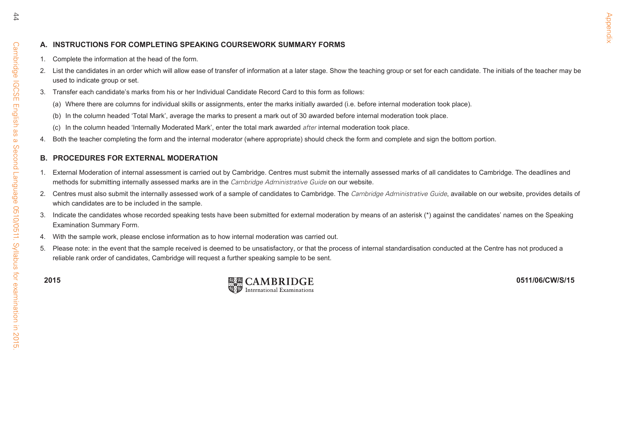# 44

- 
- A. INSTRUCTIONS FOR COMPLETING SPEAKING COURSEWORK SUMMARY FORMS<br>
2. List the caudibles is an order orbital allows associates the formula in a list stage, Show the list and propose set for each caudibles. The initials of
	- -
		-
		-
	-

- 
- 
- 
- 
- 

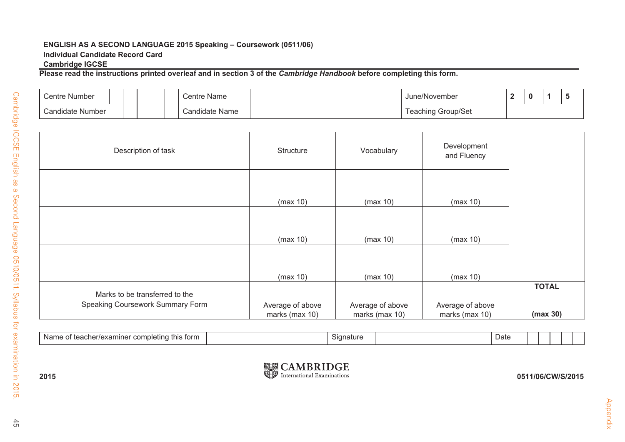#### **ENGLISH AS A SECOND LANGUAGE 2015 Speaking – Coursework (0511/06)**

**Individual Candidate Record Card**

#### **Cambridge IGCSE**

**Please read the instructions printed overleaf and in section 3 of the** *Cambridge Handbook* **before completing this form.**

| Centre Number    |  |  | Centre Name           | June/November      | 0 | $\mathbf{r}$<br>◡ |
|------------------|--|--|-----------------------|--------------------|---|-------------------|
| Candidate Number |  |  | <b>Candidate Name</b> | Teaching Group/Set |   |                   |

| Description of task              | Structure                          | Vocabulary                         | Development<br>and Fluency         |              |
|----------------------------------|------------------------------------|------------------------------------|------------------------------------|--------------|
|                                  |                                    |                                    |                                    |              |
|                                  | (max 10)                           | (max 10)                           | (max 10)                           |              |
|                                  |                                    |                                    |                                    |              |
|                                  |                                    |                                    |                                    |              |
|                                  | (max 10)                           | (max 10)                           | (max 10)                           |              |
|                                  |                                    |                                    |                                    |              |
|                                  |                                    |                                    |                                    |              |
|                                  | (max 10)                           | (max 10)                           | (max 10)                           |              |
|                                  |                                    |                                    |                                    | <b>TOTAL</b> |
| Marks to be transferred to the   |                                    |                                    |                                    |              |
| Speaking Coursework Summary Form | Average of above<br>marks (max 10) | Average of above<br>marks (max 10) | Average of above<br>marks (max 10) | (max 30)     |

| $\mathbf{r}$<br>torm<br>Name<br>this<br>mnletir<br><b></b><br>ΤF<br>.<br>.<br>$\mathbf{u}$ | anc |  | -<br>Date |  |  |  |  |  |
|--------------------------------------------------------------------------------------------|-----|--|-----------|--|--|--|--|--|
|--------------------------------------------------------------------------------------------|-----|--|-----------|--|--|--|--|--|



Appendix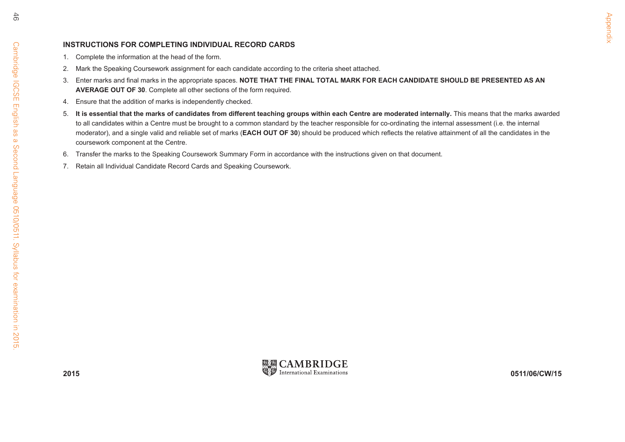- 
- 
- 
- 
- INSTRUCTIONS FOR COMPLETING INDIVIDUAL RECORD CARDS<br>
1. Complete the Special contents and the species to read contributions are cliented sheet alliathed.<br>
2. Inter-time Special Contents are approximate paix in the Matter
	-
	-

**2015**